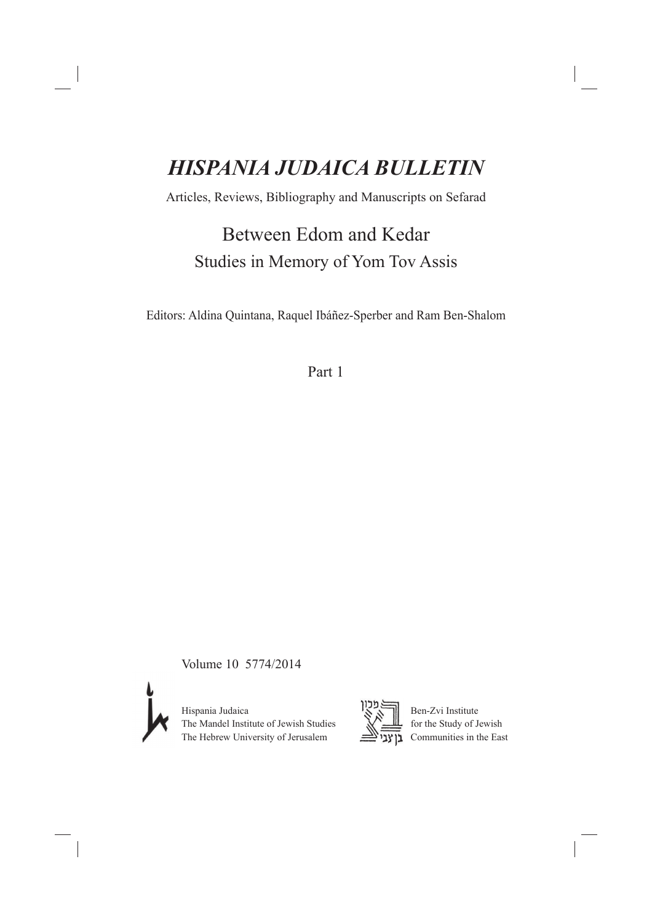# *HISPANIA JUDAICA BULLETIN*

Articles, Reviews, Bibliography and Manuscripts on Sefarad

Between Edom and Kedar Studies in Memory of Yom Tov Assis

Editors: Aldina Quintana, Raquel Ibáñez-Sperber and Ram Ben-Shalom

Part 1

Volume 10 5774/2014



Ben-Zvi Institute<br>The Mandel Institute of Jewish Studies<br>The Hebrew University of Jerusalem<br> $\overline{X}$ The Mandel Institute of Jewish Studies The Hebrew University of Jerusalem

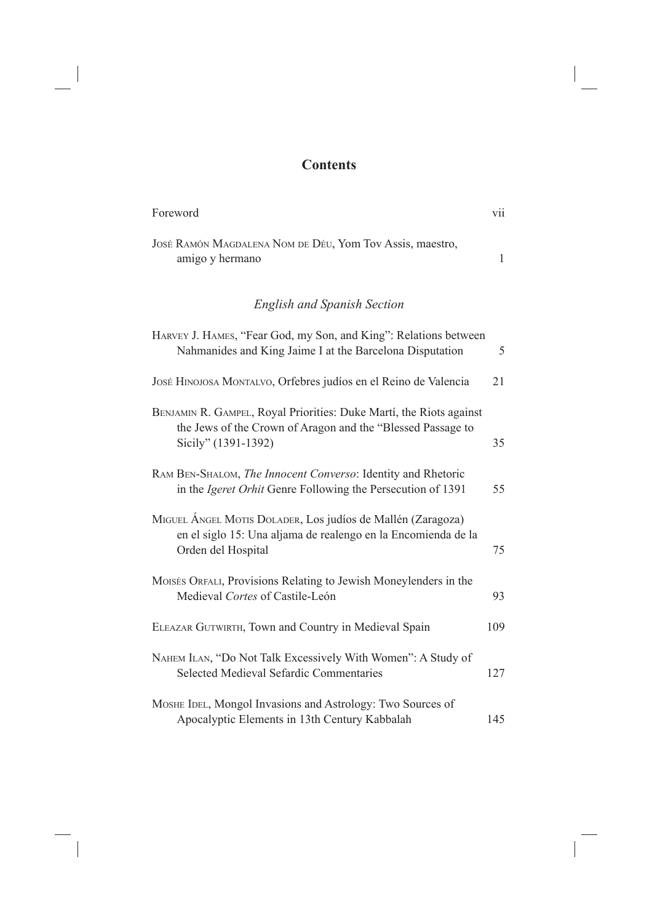## **Contents**

| Foreword                                                                                                                                                  | vii          |
|-----------------------------------------------------------------------------------------------------------------------------------------------------------|--------------|
| JOSÉ RAMÓN MAGDALENA NOM DE DÉU, Yom Tov Assis, maestro,<br>amigo y hermano                                                                               | $\mathbf{1}$ |
| <b>English and Spanish Section</b>                                                                                                                        |              |
| HARVEY J. HAMES, "Fear God, my Son, and King": Relations between<br>Nahmanides and King Jaime I at the Barcelona Disputation                              | 5            |
| JOSÉ HINOJOSA MONTALVO, Orfebres judíos en el Reino de Valencia                                                                                           | 21           |
| BENJAMIN R. GAMPEL, Royal Priorities: Duke Martí, the Riots against<br>the Jews of the Crown of Aragon and the "Blessed Passage to<br>Sicily" (1391-1392) | 35           |
| RAM BEN-SHALOM, The Innocent Converso: Identity and Rhetoric<br>in the <i>Igeret Orhit</i> Genre Following the Persecution of 1391                        | 55           |
| MIGUEL ÁNGEL MOTIS DOLADER, Los judíos de Mallén (Zaragoza)<br>en el siglo 15: Una aljama de realengo en la Encomienda de la<br>Orden del Hospital        | 75           |
| MOISÉS ORFALI, Provisions Relating to Jewish Moneylenders in the<br>Medieval Cortes of Castile-León                                                       | 93           |
| ELEAZAR GUTWIRTH, Town and Country in Medieval Spain                                                                                                      | 109          |
| NAHEM ILAN, "Do Not Talk Excessively With Women": A Study of<br><b>Selected Medieval Sefardic Commentaries</b>                                            | 127          |
| MOSHE IDEL, Mongol Invasions and Astrology: Two Sources of<br>Apocalyptic Elements in 13th Century Kabbalah                                               | 145          |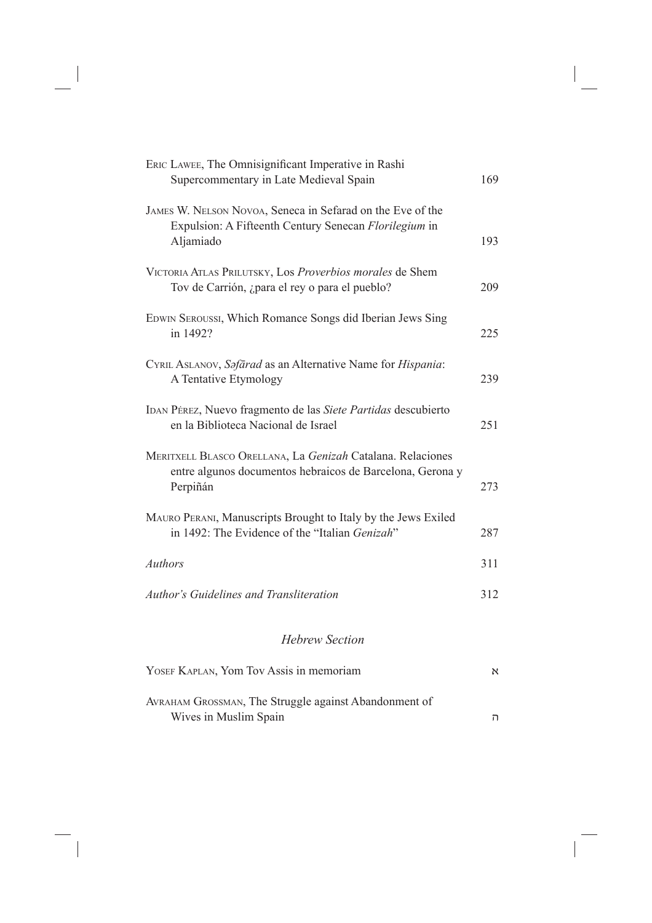| ERIC LAWEE, The Omnisignificant Imperative in Rashi<br>Supercommentary in Late Medieval Spain                                       | 169 |
|-------------------------------------------------------------------------------------------------------------------------------------|-----|
| JAMES W. NELSON NOVOA, Seneca in Sefarad on the Eve of the<br>Expulsion: A Fifteenth Century Senecan Florilegium in<br>Aljamiado    | 193 |
| VICTORIA ATLAS PRILUTSKY, Los Proverbios morales de Shem<br>Tov de Carrión, ¿para el rey o para el pueblo?                          | 209 |
| EDWIN SEROUSSI, Which Romance Songs did Iberian Jews Sing<br>in 1492?                                                               | 225 |
| CYRIL ASLANOV, Safārad as an Alternative Name for Hispania:<br>A Tentative Etymology                                                | 239 |
| IDAN PÉREZ, Nuevo fragmento de las Siete Partidas descubierto<br>en la Biblioteca Nacional de Israel                                | 251 |
| MERITXELL BLASCO ORELLANA, La Genizah Catalana. Relaciones<br>entre algunos documentos hebraicos de Barcelona, Gerona y<br>Perpiñán | 273 |
| MAURO PERANI, Manuscripts Brought to Italy by the Jews Exiled<br>in 1492: The Evidence of the "Italian Genizah"                     | 287 |
| <b>Authors</b>                                                                                                                      | 311 |
| <b>Author's Guidelines and Transliteration</b>                                                                                      | 312 |
| <b>Hebrew Section</b>                                                                                                               |     |
| YOSEF KAPLAN, Yom Tov Assis in memoriam                                                                                             | N   |
| AVRAHAM GROSSMAN, The Struggle against Abandonment of<br>Wives in Muslim Spain                                                      | ה   |

 $\overline{\phantom{a}}$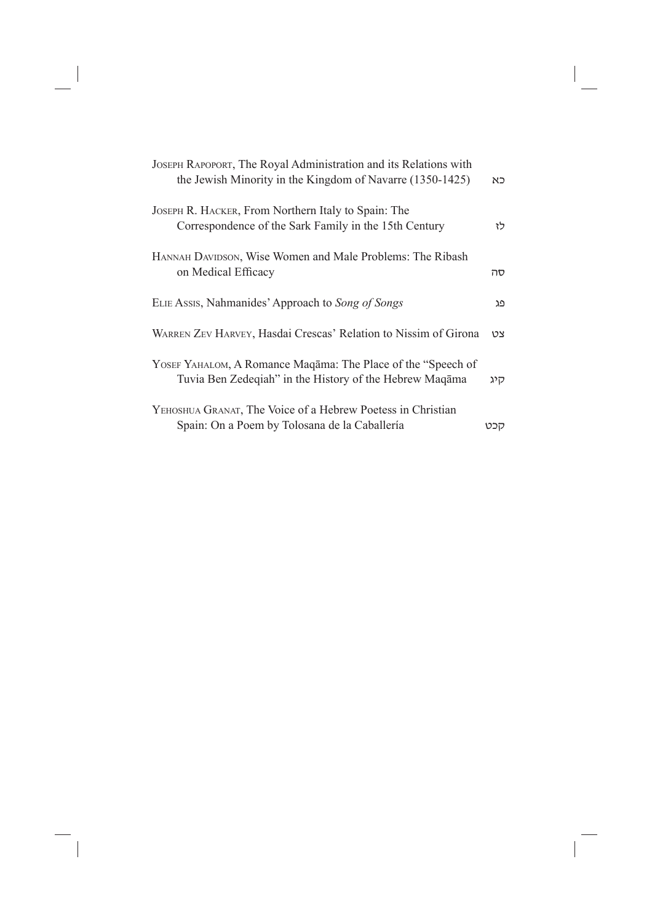| JOSEPH RAPOPORT, The Royal Administration and its Relations with<br>the Jewish Minority in the Kingdom of Navarre (1350-1425) | כא  |
|-------------------------------------------------------------------------------------------------------------------------------|-----|
| JOSEPH R. HACKER, From Northern Italy to Spain: The<br>Correspondence of the Sark Family in the 15th Century                  | לז  |
| HANNAH DAVIDSON, Wise Women and Male Problems: The Ribash<br>on Medical Efficacy                                              | סה  |
| ELIE Assis, Nahmanides' Approach to Song of Songs                                                                             | פג  |
| WARREN ZEV HARVEY, Hasdai Crescas' Relation to Nissim of Girona                                                               | צט  |
| YOSEF YAHALOM, A Romance Maqama: The Place of the "Speech of<br>Tuvia Ben Zedeqiah" in the History of the Hebrew Maqama       | רוג |
| YEHOSHUA GRANAT, The Voice of a Hebrew Poetess in Christian<br>Spain: On a Poem by Tolosana de la Caballería                  | קכט |

 $\mathbb{R}^{\mathbb{N}}$ 

 $\overline{\phantom{a}}_1$ 

 $\begin{array}{c} \hline \end{array}$ 

 $\frac{1}{\sqrt{2}}$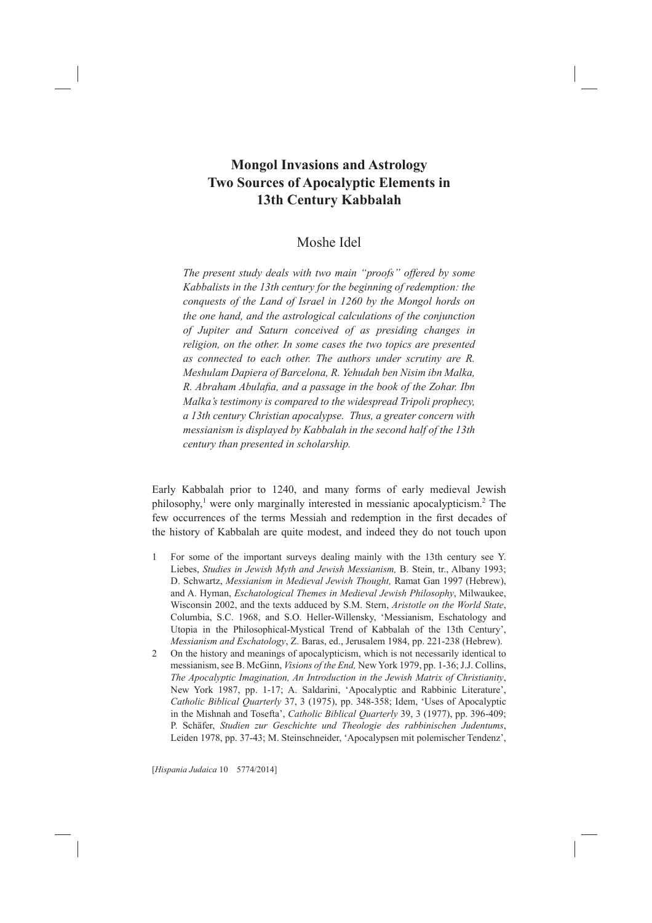## **Mongol Invasions and Astrology Two Sources of Apocalyptic Elements in 13th Century Kabbalah**

### Moshe Idel

*The present study deals with two main "proofs" offered by some Kabbalists in the 13th century for the beginning of redemption: the conquests of the Land of Israel in 1260 by the Mongol hords on the one hand, and the astrological calculations of the conjunction of Jupiter and Saturn conceived of as presiding changes in religion, on the other. In some cases the two topics are presented as connected to each other. The authors under scrutiny are R. Meshulam Dapiera of Barcelona, R. Yehudah ben Nisim ibn Malka, R. Abraham Abulafia, and a passage in the book of the Zohar. Ibn Malka's testimony is compared to the widespread Tripoli prophecy, a 13th century Christian apocalypse. Thus, a greater concern with messianism is displayed by Kabbalah in the second half of the 13th century than presented in scholarship.*

Early Kabbalah prior to 1240, and many forms of early medieval Jewish philosophy,<sup>1</sup> were only marginally interested in messianic apocalypticism.<sup>2</sup> The few occurrences of the terms Messiah and redemption in the first decades of the history of Kabbalah are quite modest, and indeed they do not touch upon

- 1 For some of the important surveys dealing mainly with the 13th century see Y. Liebes, Studies in Jewish Myth and Jewish Messianism, B. Stein, tr., Albany 1993; D. Schwartz, Messianism in Medieval Jewish Thought, Ramat Gan 1997 (Hebrew), and A. Hyman, *Eschatological Themes in Medieval Jewish Philosophy*, Milwaukee, Wisconsin 2002, and the texts adduced by S.M. Stern, Aristotle on the World State, Columbia, S.C. 1968, and S.O. Heller-Willensky, 'Messianism, Eschatology and Utopia in the Philosophical-Mystical Trend of Kabbalah of the 13th Century', *Messianism and Eschatology*, Z. Baras, ed., Jerusalem 1984, pp. 221-238 (Hebrew).
- 2 On the history and meanings of apocalypticism, which is not necessarily identical to messianism, see B. McGinn, *Visions of the End*, New York 1979, pp. 1-36; J.J. Collins, *The Apocalyptic Imagination, An Introduction in the Jewish Matrix of Christianity* New York 1987, pp. 1-17; A. Saldarini, 'Apocalyptic and Rabbinic Literature', Catholic Biblical Quarterly 37, 3 (1975), pp. 348-358; Idem, 'Uses of Apocalyptic in the Mishnah and Tosefta', Catholic Biblical Quarterly 39, 3 (1977), pp. 396-409; P. Schäfer, Studien zur Geschichte und Theologie des rabbinischen Judentums, Leiden 1978, pp. 37-43; M. Steinschneider, 'Apocalypsen mit polemischer Tendenz',

[*Hispania Judaica*@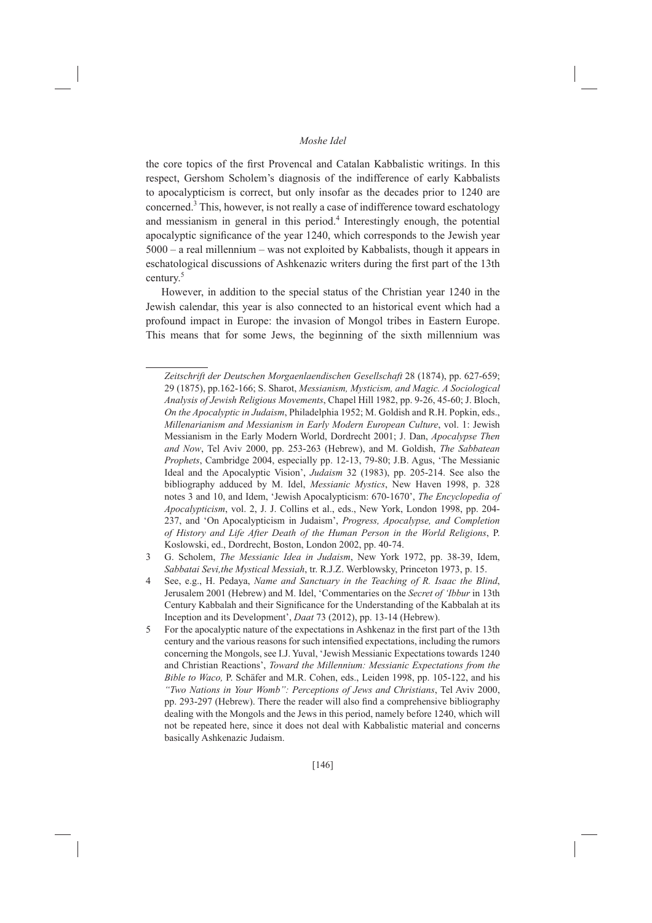the core topics of the first Provencal and Catalan Kabbalistic writings. In this respect. Gershom Scholem's diagnosis of the indifference of early Kabbalists to apocalypticism is correct, but only insofar as the decades prior to 1240 are concerned.<sup>3</sup> This, however, is not really a case of indifference toward eschatology and messianism in general in this period.<sup>4</sup> Interestingly enough, the potential apocalyptic significance of the year 1240, which corresponds to the Jewish year  $5000 - a$  real millennium – was not exploited by Kabbalists, though it appears in eschatological discussions of Ashkenazic writers during the first part of the 13th century. $5$ 

However, in addition to the special status of the Christian year 1240 in the Jewish calendar, this year is also connected to an historical event which had a profound impact in Europe: the invasion of Mongol tribes in Eastern Europe. This means that for some Jews, the beginning of the sixth millennium was

Zeitschrift der Deutschen Morgaenlaendischen Gesellschaft 28 (1874), pp. 627-659; 29 (1875), pp.162-166; S. Sharot, Messianism, Mysticism, and Magic. A Sociological Analysis of Jewish Religious Movements, Chapel Hill 1982, pp. 9-26, 45-60; J. Bloch, On the Apocalyptic in Judaism, Philadelphia 1952; M. Goldish and R.H. Popkin, eds., Millenarianism and Messianism in Early Modern European Culture, vol. 1: Jewish Messianism in the Early Modern World, Dordrecht 2001; J. Dan, Apocalypse Then and Now, Tel Aviv 2000, pp. 253-263 (Hebrew), and M. Goldish, The Sabbatean Prophets, Cambridge 2004, especially pp. 12-13, 79-80; J.B. Agus, 'The Messianic Ideal and the Apocalyptic Vision', Judaism 32 (1983), pp. 205-214. See also the bibliography adduced by M. Idel, Messianic Mystics, New Haven 1998, p. 328 notes 3 and 10, and Idem, 'Jewish Apocalypticism: 670-1670', The Encyclopedia of Apocalypticism, vol. 2, J. J. Collins et al., eds., New York, London 1998, pp. 204-237, and 'On Apocalypticism in Judaism', Progress, Apocalypse, and Completion of History and Life After Death of the Human Person in the World Religions, P. Koslowski, ed., Dordrecht, Boston, London 2002, pp. 40-74.

G. Scholem, The Messianic Idea in Judaism, New York 1972, pp. 38-39, Idem, 3 Sabbatai Sevi, the Mystical Messiah, tr. R.J.Z. Werblowsky, Princeton 1973, p. 15.

See, e.g., H. Pedaya, Name and Sanctuary in the Teaching of R. Isaac the Blind, Jerusalem 2001 (Hebrew) and M. Idel, 'Commentaries on the Secret of 'Ibbur in 13th Century Kabbalah and their Significance for the Understanding of the Kabbalah at its Inception and its Development', Daat 73 (2012), pp. 13-14 (Hebrew).

<sup>5</sup> For the apocalyptic nature of the expectations in Ashkenaz in the first part of the 13th century and the various reasons for such intensified expectations, including the rumors concerning the Mongols, see I.J. Yuval, 'Jewish Messianic Expectations towards 1240 and Christian Reactions', Toward the Millennium: Messianic Expectations from the Bible to Waco, P. Schäfer and M.R. Cohen, eds., Leiden 1998, pp. 105-122, and his "Two Nations in Your Womb": Perceptions of Jews and Christians, Tel Aviv 2000, pp. 293-297 (Hebrew). There the reader will also find a comprehensive bibliography dealing with the Mongols and the Jews in this period, namely before 1240, which will not be repeated here, since it does not deal with Kabbalistic material and concerns basically Ashkenazic Judaism.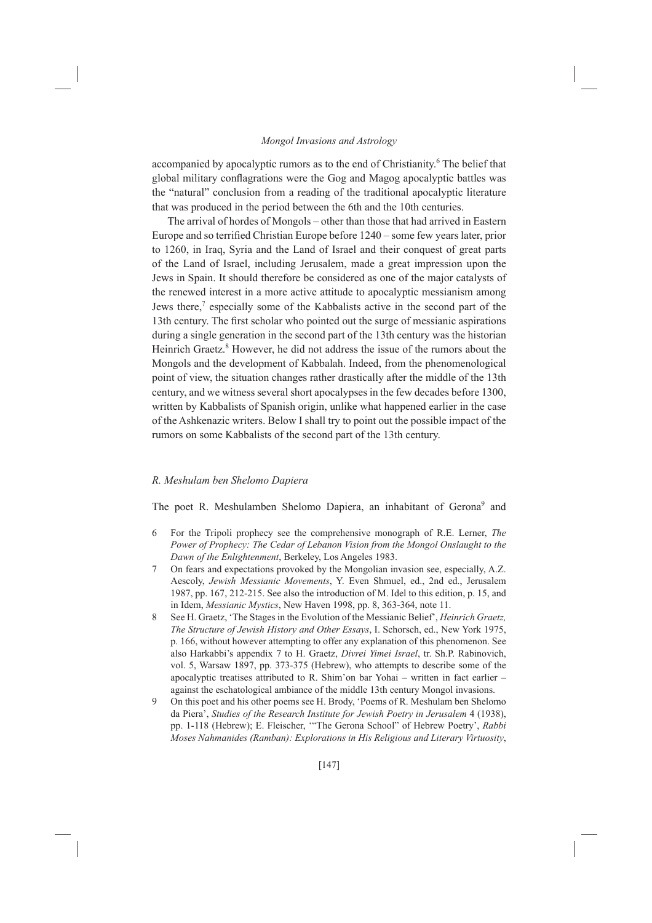accompanied by apocalyptic rumors as to the end of Christianity.<sup>6</sup> The belief that global military conflagrations were the Gog and Magog apocalyptic battles was the "natural" conclusion from a reading of the traditional apocalyptic literature that was produced in the period between the 6th and the 10th centuries.

The arrival of hordes of Mongols – other than those that had arrived in Eastern Europe and so terrified Christian Europe before 1240 – some few years later, prior to 1260, in Iraq, Syria and the Land of Israel and their conquest of great parts of the Land of Israel, including Jerusalem, made a great impression upon the Jews in Spain. It should therefore be considered as one of the major catalysts of the renewed interest in a more active attitude to apocalyptic messianism among Jews there,<sup>7</sup> especially some of the Kabbalists active in the second part of the 13th century. The first scholar who pointed out the surge of messianic aspirations during a single generation in the second part of the 13th century was the historian Heinrich Graetz.<sup>8</sup> However, he did not address the issue of the rumors about the Mongols and the development of Kabbalah. Indeed, from the phenomenological point of view, the situation changes rather drastically after the middle of the 13th century, and we witness several short apocalypses in the few decades before 1300, written by Kabbalists of Spanish origin, unlike what happened earlier in the case of the Ashkenazic writers. Below I shall try to point out the possible impact of the rumors on some Kabbalists of the second part of the 13th century.

#### R. Meshulam ben Shelomo Dapiera

The poet R. Meshulamben Shelomo Dapiera, an inhabitant of Gerona<sup>9</sup> and

- For the Tripoli prophecy see the comprehensive monograph of R.E. Lerner, The 6 Power of Prophecy: The Cedar of Lebanon Vision from the Mongol Onslaught to the Dawn of the Enlightenment, Berkeley, Los Angeles 1983.
- $\tau$ On fears and expectations provoked by the Mongolian invasion see, especially, A.Z. Aescoly, Jewish Messianic Movements, Y. Even Shmuel, ed., 2nd ed., Jerusalem 1987, pp. 167, 212-215. See also the introduction of M. Idel to this edition, p. 15, and in Idem, Messianic Mystics, New Haven 1998, pp. 8, 363-364, note 11.
- $\mathsf{R}$ See H. Graetz, 'The Stages in the Evolution of the Messianic Belief', Heinrich Graetz, The Structure of Jewish History and Other Essays, I. Schorsch, ed., New York 1975, p. 166, without however attempting to offer any explanation of this phenomenon. See also Harkabbi's appendix 7 to H. Graetz, Divrei Yimei Israel, tr. Sh.P. Rabinovich, vol. 5, Warsaw 1897, pp. 373-375 (Hebrew), who attempts to describe some of the apocalyptic treatises attributed to R. Shim'on bar Yohai - written in fact earlier against the eschatological ambiance of the middle 13th century Mongol invasions.
- $\mathbf{Q}$ On this poet and his other poems see H. Brody, 'Poems of R. Meshulam ben Shelomo da Piera', Studies of the Research Institute for Jewish Poetry in Jerusalem 4 (1938), pp. 1-118 (Hebrew); E. Fleischer, "The Gerona School" of Hebrew Poetry', Rabbi Moses Nahmanides (Ramban): Explorations in His Religious and Literary Virtuosity,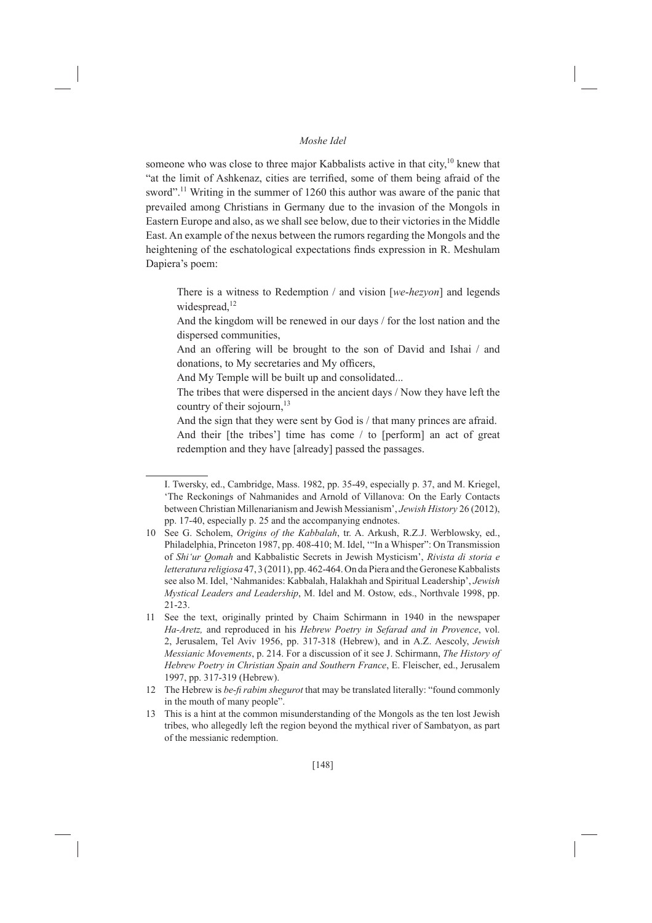someone who was close to three major Kabbalists active in that city,<sup>10</sup> knew that "at the limit of Ashkenaz, cities are terrified, some of them being afraid of the sword".<sup>11</sup> Writing in the summer of 1260 this author was aware of the panic that prevailed among Christians in Germany due to the invasion of the Mongols in Eastern Europe and also, as we shall see below, due to their victories in the Middle East. An example of the nexus between the rumors regarding the Mongols and the heightening of the eschatological expectations finds expression in R. Meshulam Dapiera's poem:

There is a witness to Redemption / and vision  $[we-hezvon]$  and legends widespread, $^{12}$ 

And the kingdom will be renewed in our days / for the lost nation and the dispersed communities,

And an offering will be brought to the son of David and Ishai / and donations, to My secretaries and My officers,

And My Temple will be built up and consolidated...

The tribes that were dispersed in the ancient days / Now they have left the country of their sojourn,<sup>13</sup>

And the sign that they were sent by God is / that many princes are afraid. And their [the tribes'] time has come / to [perform] an act of great redemption and they have [already] passed the passages.

I. Twersky, ed., Cambridge, Mass. 1982, pp. 35-49, especially p. 37, and M. Kriegel, 'The Reckonings of Nahmanides and Arnold of Villanova: On the Early Contacts between Christian Millenarianism and Jewish Messianism', Jewish History 26 (2012), pp. 17-40, especially p. 25 and the accompanying endnotes.

<sup>10</sup> See G. Scholem, Origins of the Kabbalah, tr. A. Arkush, R.Z.J. Werblowsky, ed., Philadelphia, Princeton 1987, pp. 408-410; M. Idel, "'In a Whisper": On Transmission of Shi'ur Qomah and Kabbalistic Secrets in Jewish Mysticism', Rivista di storia e *letteratura religiosa* 47, 3 (2011), pp. 462-464. On da Piera and the Geronese Kabbalists see also M. Idel, 'Nahmanides: Kabbalah, Halakhah and Spiritual Leadership', Jewish Mystical Leaders and Leadership, M. Idel and M. Ostow, eds., Northvale 1998, pp.  $21 - 23$ 

<sup>11</sup> See the text, originally printed by Chaim Schirmann in 1940 in the newspaper Ha-Aretz, and reproduced in his Hebrew Poetry in Sefarad and in Provence, vol. 2, Jerusalem, Tel Aviv 1956, pp. 317-318 (Hebrew), and in A.Z. Aescoly, Jewish Messianic Movements, p. 214. For a discussion of it see J. Schirmann, The History of Hebrew Poetry in Christian Spain and Southern France, E. Fleischer, ed., Jerusalem 1997, pp. 317-319 (Hebrew).

<sup>12</sup> The Hebrew is *be-fi rabim shegurot* that may be translated literally: "found commonly in the mouth of many people".

<sup>13</sup> This is a hint at the common misunderstanding of the Mongols as the ten lost Jewish tribes, who allegedly left the region beyond the mythical river of Sambatyon, as part of the messianic redemption.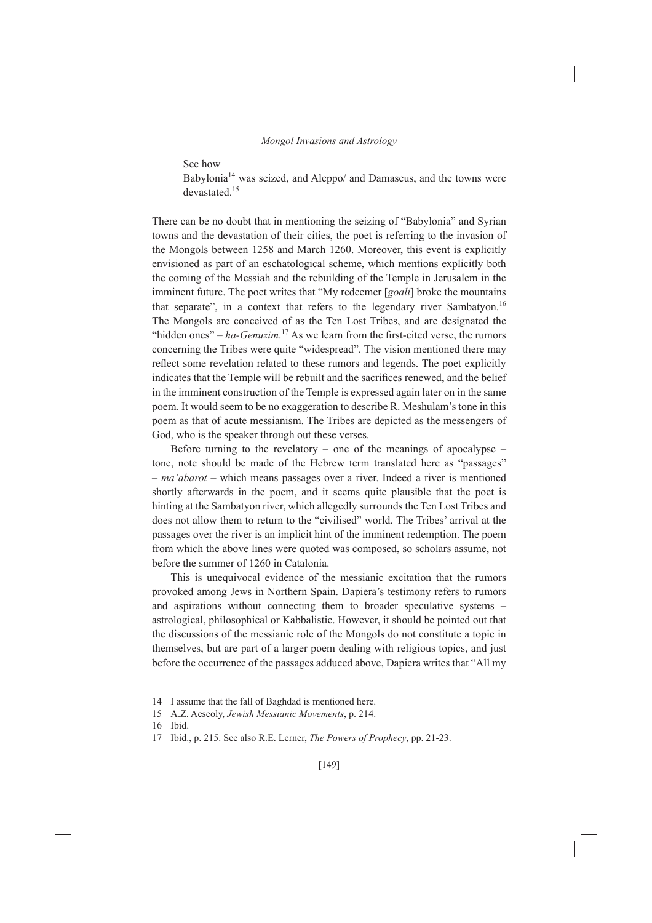See how

Babylonia<sup>14</sup> was seized, and Aleppo/ and Damascus, and the towns were devastated.<sup>15</sup>

There can be no doubt that in mentioning the seizing of "Babylonia" and Syrian towns and the devastation of their cities, the poet is referring to the invasion of the Mongols between 1258 and March 1260. Moreover, this event is explicitly envisioned as part of an eschatological scheme, which mentions explicitly both the coming of the Messiah and the rebuilding of the Temple in Jerusalem in the imminent future. The poet writes that "My redeemer [goali] broke the mountains that separate", in a context that refers to the legendary river Sambatyon.<sup>16</sup> The Mongols are conceived of as the Ten Lost Tribes, and are designated the "hidden ones" – ha-Genuzim.<sup>17</sup> As we learn from the first-cited verse, the rumors concerning the Tribes were quite "widespread". The vision mentioned there may reflect some revelation related to these rumors and legends. The poet explicitly indicates that the Temple will be rebuilt and the sacrifices renewed, and the belief in the imminent construction of the Temple is expressed again later on in the same poem. It would seem to be no exaggeration to describe R. Meshulam's tone in this poem as that of acute messianism. The Tribes are depicted as the messengers of God, who is the speaker through out these verses.

Before turning to the revelatory – one of the meanings of apocalypse – tone, note should be made of the Hebrew term translated here as "passages" - ma'abarot - which means passages over a river. Indeed a river is mentioned shortly afterwards in the poem, and it seems quite plausible that the poet is hinting at the Sambatyon river, which allegedly surrounds the Ten Lost Tribes and does not allow them to return to the "civilised" world. The Tribes' arrival at the passages over the river is an implicit hint of the imminent redemption. The poem from which the above lines were quoted was composed, so scholars assume, not before the summer of 1260 in Catalonia.

This is unequivocal evidence of the messianic excitation that the rumors provoked among Jews in Northern Spain. Dapiera's testimony refers to rumors and aspirations without connecting them to broader speculative systems – astrological, philosophical or Kabbalistic. However, it should be pointed out that the discussions of the messianic role of the Mongols do not constitute a topic in themselves, but are part of a larger poem dealing with religious topics, and just before the occurrence of the passages adduced above, Dapiera writes that "All my

<sup>14</sup> I assume that the fall of Baghdad is mentioned here.

<sup>15</sup> A.Z. Aescoly, Jewish Messianic Movements, p. 214.

<sup>16</sup> Ibid

<sup>17</sup> Ibid., p. 215. See also R.E. Lerner, *The Powers of Prophecy*, pp. 21-23.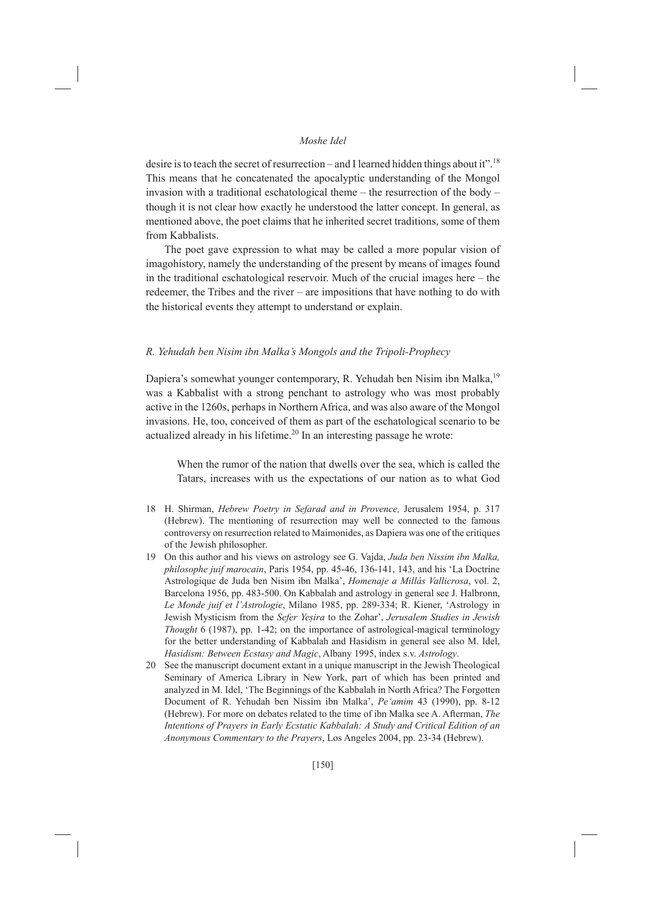desire is to teach the secret of resurrection – and I learned hidden things about it".<sup>18</sup> This means that he concatenated the apocalyptic understanding of the Mongol invasion with a traditional eschatological theme – the resurrection of the body – though it is not clear how exactly he understood the latter concept. In general, as mentioned above, the poet claims that he inherited secret traditions, some of them from Kabbalists.

The poet gave expression to what may be called a more popular vision of imagohistory, namely the understanding of the present by means of images found in the traditional eschatological reservoir. Much of the crucial images here – the redeemer, the Tribes and the river – are impositions that have nothing to do with the historical events they attempt to understand or explain.

#### R. Yehudah ben Nisim ibn Malka's Mongols and the Tripoli-Prophecy

Dapiera's somewhat younger contemporary, R. Yehudah ben Nisim ibn Malka,<sup>19</sup> was a Kabbalist with a strong penchant to astrology who was most probably active in the 1260s, perhaps in Northern Africa, and was also aware of the Mongol invasions. He, too, conceived of them as part of the eschatological scenario to be actualized already in his lifetime.<sup>20</sup> In an interesting passage he wrote:

When the rumor of the nation that dwells over the sea, which is called the Tatars, increases with us the expectations of our nation as to what God

- 18 H. Shirman, Hebrew Poetry in Sefarad and in Provence, Jerusalem 1954, p. 317 (Hebrew). The mentioning of resurrection may well be connected to the famous controversy on resurrection related to Maimonides, as Dapiera was one of the critiques of the Jewish philosopher.
- 19 On this author and his views on astrology see G. Vajda, Juda ben Nissim ibn Malka, philosophe juif marocain, Paris 1954, pp. 45-46, 136-141, 143, and his 'La Doctrine Astrologique de Juda ben Nisim ibn Malka', Homenaje a Millás Vallicrosa, vol. 2, Barcelona 1956, pp. 483-500. On Kabbalah and astrology in general see J. Halbronn, Le Monde juif et l'Astrologie, Milano 1985, pp. 289-334; R. Kiener, 'Astrology in Jewish Mysticism from the Sefer Yeşira to the Zohar', Jerusalem Studies in Jewish Thought 6 (1987), pp. 1-42; on the importance of astrological-magical terminology for the better understanding of Kabbalah and Hasidism in general see also M. Idel, Hasidism: Between Ecstasy and Magic, Albany 1995, index s.v. Astrology.
- 20 See the manuscript document extant in a unique manuscript in the Jewish Theological Seminary of America Library in New York, part of which has been printed and analyzed in M. Idel, 'The Beginnings of the Kabbalah in North Africa? The Forgotten Document of R. Yehudah ben Nissim ibn Malka', Pe'amim 43 (1990), pp. 8-12 (Hebrew). For more on debates related to the time of ibn Malka see A. Afterman, The Intentions of Prayers in Early Ecstatic Kabbalah: A Study and Critical Edition of an Anonymous Commentary to the Prayers, Los Angeles 2004, pp. 23-34 (Hebrew).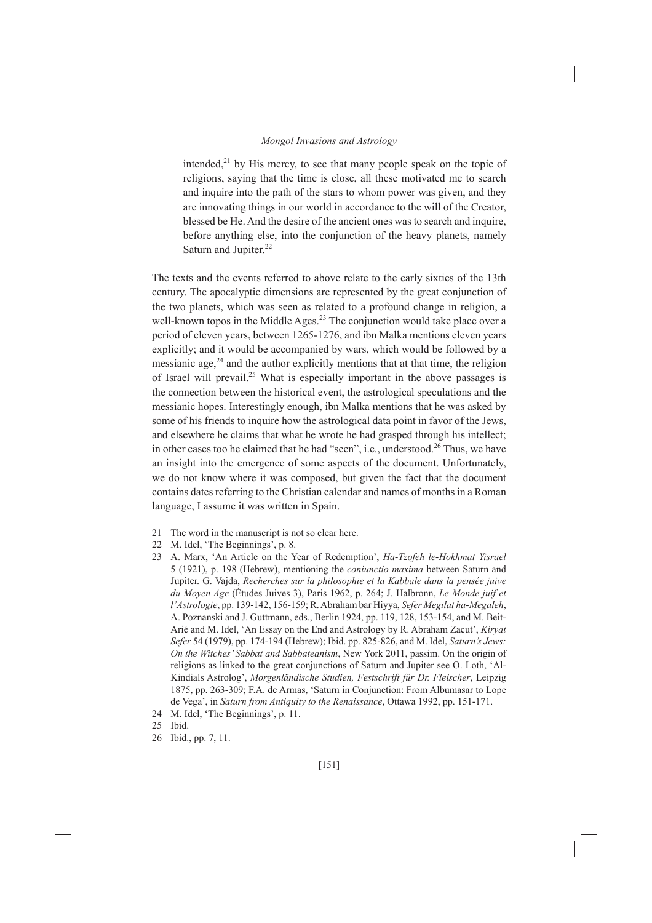intended, $21$  by His mercy, to see that many people speak on the topic of religions, saving that the time is close, all these motivated me to search and inquire into the path of the stars to whom power was given, and they are innovating things in our world in accordance to the will of the Creator, blessed be He. And the desire of the ancient ones was to search and inquire, before anything else, into the conjunction of the heavy planets, namely Saturn and Jupiter.<sup>22</sup>

The texts and the events referred to above relate to the early sixties of the 13th century. The apocalyptic dimensions are represented by the great conjunction of the two planets, which was seen as related to a profound change in religion, a well-known topos in the Middle Ages.<sup>23</sup> The conjunction would take place over a period of eleven years, between 1265-1276, and ibn Malka mentions eleven years explicitly; and it would be accompanied by wars, which would be followed by a messianic age,<sup>24</sup> and the author explicitly mentions that at that time, the religion of Israel will prevail.<sup>25</sup> What is especially important in the above passages is the connection between the historical event, the astrological speculations and the messianic hopes. Interestingly enough, ibn Malka mentions that he was asked by some of his friends to inquire how the astrological data point in favor of the Jews, and elsewhere he claims that what he wrote he had grasped through his intellect; in other cases too he claimed that he had "seen", i.e., understood.<sup>26</sup> Thus, we have an insight into the emergence of some aspects of the document. Unfortunately, we do not know where it was composed, but given the fact that the document contains dates referring to the Christian calendar and names of months in a Roman language, I assume it was written in Spain.

- 21 The word in the manuscript is not so clear here.
- 22 M. Idel, 'The Beginnings', p. 8.
- 23 A. Marx, 'An Article on the Year of Redemption', Ha-Tzofeh le-Hokhmat Yisrael 5 (1921), p. 198 (Hebrew), mentioning the *coniunctio maxima* between Saturn and Jupiter. G. Vajda, Recherches sur la philosophie et la Kabbale dans la pensée juive du Moyen Age (Études Juives 3), Paris 1962, p. 264; J. Halbronn, Le Monde juif et l'Astrologie, pp. 139-142, 156-159; R. Abraham bar Hiyya, Sefer Megilat ha-Megaleh, A. Poznanski and J. Guttmann, eds., Berlin 1924, pp. 119, 128, 153-154, and M. Beit-Arié and M. Idel, 'An Essay on the End and Astrology by R. Abraham Zacut', Kiryat Sefer 54 (1979), pp. 174-194 (Hebrew); Ibid. pp. 825-826, and M. Idel, Saturn's Jews: On the Witches' Sabbat and Sabbateanism, New York 2011, passim. On the origin of religions as linked to the great conjunctions of Saturn and Jupiter see O. Loth, 'Al-Kindials Astrolog', Morgenländische Studien, Festschrift für Dr. Fleischer, Leipzig 1875, pp. 263-309; F.A. de Armas, 'Saturn in Conjunction: From Albumasar to Lope de Vega', in Saturn from Antiquity to the Renaissance, Ottawa 1992, pp. 151-171.
- 24 M. Idel, 'The Beginnings', p. 11.
- 25 Ibid.
- 26 Ibid., pp. 7, 11.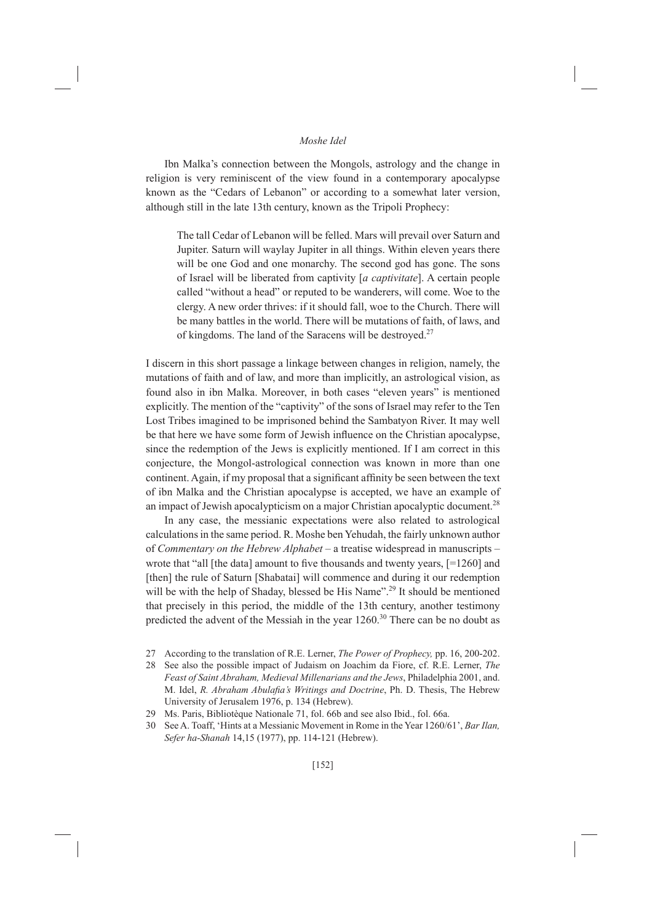Ibn Malka's connection between the Mongols, astrology and the change in religion is very reminiscent of the view found in a contemporary apocalypse known as the "Cedars of Lebanon" or according to a somewhat later version, although still in the late 13th century, known as the Tripoli Prophecy:

The tall Cedar of Lebanon will be felled. Mars will prevail over Saturn and Jupiter. Saturn will waylay Jupiter in all things. Within eleven years there will be one God and one monarchy. The second god has gone. The sons of Israel will be liberated from captivity [a captivitate]. A certain people called "without a head" or reputed to be wanderers, will come. Woe to the clergy. A new order thrives: if it should fall, woe to the Church. There will be many battles in the world. There will be mutations of faith, of laws, and of kingdoms. The land of the Saracens will be destroyed.<sup>27</sup>

I discern in this short passage a linkage between changes in religion, namely, the mutations of faith and of law, and more than implicitly, an astrological vision, as found also in ibn Malka. Moreover, in both cases "eleven years" is mentioned explicitly. The mention of the "captivity" of the sons of Israel may refer to the Ten Lost Tribes imagined to be imprisoned behind the Sambatyon River. It may well be that here we have some form of Jewish influence on the Christian apocalypse, since the redemption of the Jews is explicitly mentioned. If I am correct in this conjecture, the Mongol-astrological connection was known in more than one continent. Again, if my proposal that a significant affinity be seen between the text of ibn Malka and the Christian apocalypse is accepted, we have an example of an impact of Jewish apocalypticism on a major Christian apocalyptic document.<sup>28</sup>

In any case, the messianic expectations were also related to astrological calculations in the same period. R. Moshe ben Yehudah, the fairly unknown author of Commentary on the Hebrew Alphabet – a treatise widespread in manuscripts – wrote that "all [the data] amount to five thousands and twenty years, [=1260] and [then] the rule of Saturn [Shabatai] will commence and during it our redemption will be with the help of Shaday, blessed be His Name".<sup>29</sup> It should be mentioned that precisely in this period, the middle of the 13th century, another testimony predicted the advent of the Messiah in the year 1260.<sup>30</sup> There can be no doubt as

- See also the possible impact of Judaism on Joachim da Fiore, cf. R.E. Lerner, The 28 Feast of Saint Abraham, Medieval Millenarians and the Jews, Philadelphia 2001, and. M. Idel, R. Abraham Abulafia's Writings and Doctrine, Ph. D. Thesis, The Hebrew University of Jerusalem 1976, p. 134 (Hebrew).
- Ms. Paris, Bibliotèque Nationale 71, fol. 66b and see also Ibid., fol. 66a. 29
- 30 See A. Toaff, 'Hints at a Messianic Movement in Rome in the Year 1260/61', Bar Ilan, Sefer ha-Shanah 14,15 (1977), pp. 114-121 (Hebrew).

<sup>27</sup> According to the translation of R.E. Lerner, The Power of Prophecy, pp. 16, 200-202.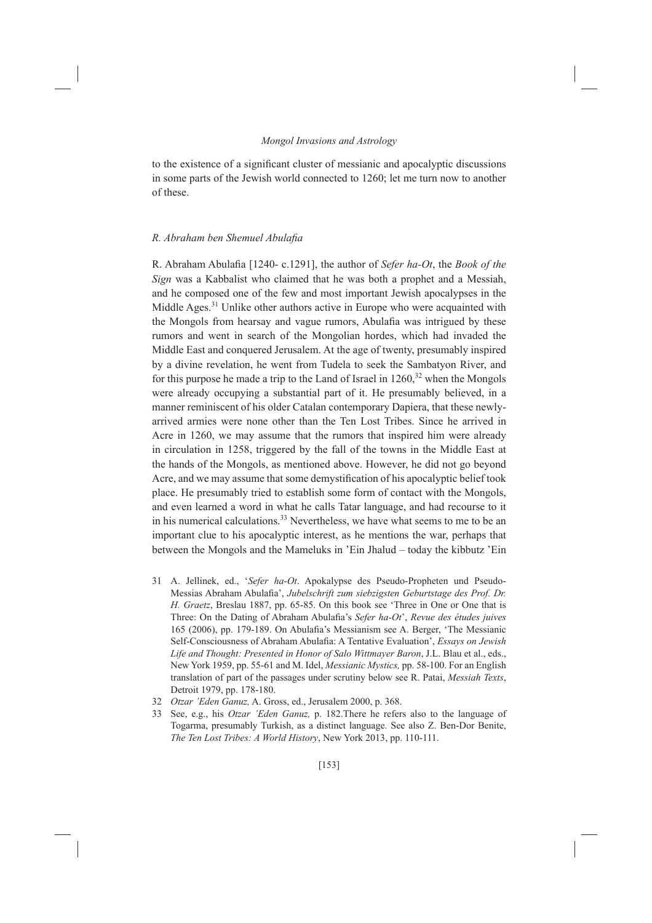to the existence of a significant cluster of messianic and apocalyptic discussions in some parts of the Jewish world connected to 1260; let me turn now to another of these.

#### R. Abraham ben Shemuel Abulafia

R. Abraham Abulafia [1240-c.1291], the author of Sefer ha-Ot, the Book of the Sign was a Kabbalist who claimed that he was both a prophet and a Messiah, and he composed one of the few and most important Jewish apocalypses in the Middle Ages.<sup>31</sup> Unlike other authors active in Europe who were acquainted with the Mongols from hearsay and vague rumors, Abulafia was intrigued by these rumors and went in search of the Mongolian hordes, which had invaded the Middle East and conquered Jerusalem. At the age of twenty, presumably inspired by a divine revelation, he went from Tudela to seek the Sambatyon River, and for this purpose he made a trip to the Land of Israel in  $1260$ <sup>32</sup> when the Mongols were already occupying a substantial part of it. He presumably believed, in a manner reminiscent of his older Catalan contemporary Dapiera, that these newlyarrived armies were none other than the Ten Lost Tribes. Since he arrived in Acre in 1260, we may assume that the rumors that inspired him were already in circulation in 1258, triggered by the fall of the towns in the Middle East at the hands of the Mongols, as mentioned above. However, he did not go beyond Acre, and we may assume that some demystification of his apocalyptic belief took place. He presumably tried to establish some form of contact with the Mongols, and even learned a word in what he calls Tatar language, and had recourse to it in his numerical calculations.<sup>33</sup> Nevertheless, we have what seems to me to be an important clue to his apocalyptic interest, as he mentions the war, perhaps that between the Mongols and the Mameluks in 'Ein Jhalud – today the kibbutz 'Ein

- 31 A. Jellinek, ed., 'Sefer ha-Ot. Apokalypse des Pseudo-Propheten und Pseudo-Messias Abraham Abulafia', Jubelschrift zum siebzigsten Geburtstage des Prof. Dr. H. Graetz, Breslau 1887, pp. 65-85. On this book see 'Three in One or One that is Three: On the Dating of Abraham Abulafia's Sefer ha-Ot', Revue des études juives 165 (2006), pp. 179-189. On Abulafia's Messianism see A. Berger, 'The Messianic Self-Consciousness of Abraham Abulafia: A Tentative Evaluation', Essays on Jewish Life and Thought: Presented in Honor of Salo Wittmayer Baron, J.L. Blau et al., eds., New York 1959, pp. 55-61 and M. Idel, Messianic Mystics, pp. 58-100. For an English translation of part of the passages under scrutiny below see R. Patai, Messiah Texts, Detroit 1979, pp. 178-180.
- 32 Otzar 'Eden Ganuz, A. Gross, ed., Jerusalem 2000, p. 368.
- See, e.g., his *Otzar 'Eden Ganuz*, p. 182. There he refers also to the language of 33 Togarma, presumably Turkish, as a distinct language. See also Z. Ben-Dor Benite, The Ten Lost Tribes: A World History, New York 2013, pp. 110-111.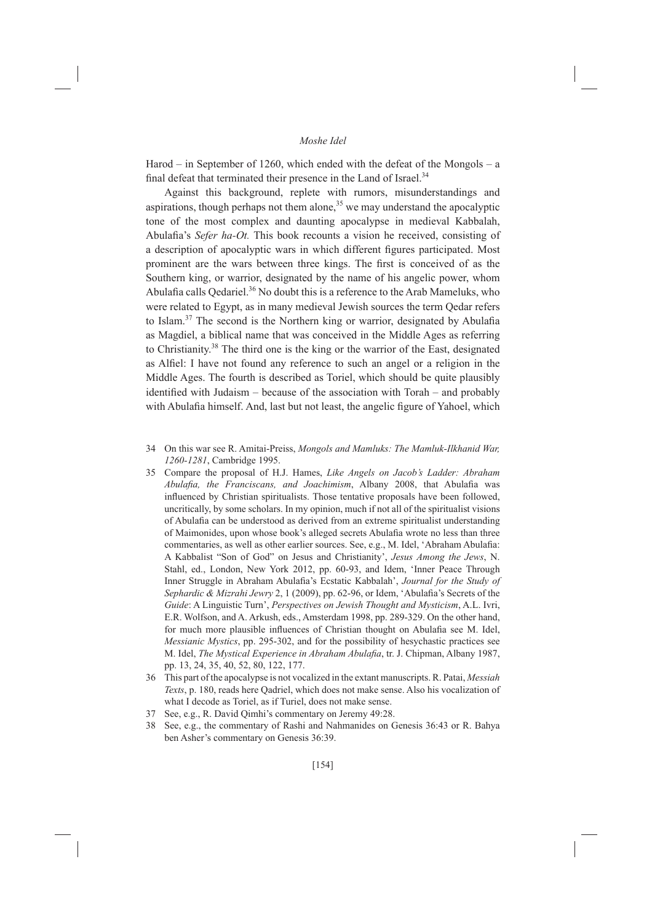Harod – in September of 1260, which ended with the defeat of the Mongols – a final defeat that terminated their presence in the Land of Israel.<sup>34</sup>

Against this background, replete with rumors, misunderstandings and aspirations, though perhaps not them alone,<sup>35</sup> we may understand the apocalyptic tone of the most complex and daunting apocalypse in medieval Kabbalah, Abulafia's Sefer ha-Ot. This book recounts a vision he received, consisting of a description of apocalyptic wars in which different figures participated. Most prominent are the wars between three kings. The first is conceived of as the Southern king, or warrior, designated by the name of his angelic power, whom Abulafia calls Qedariel.<sup>36</sup> No doubt this is a reference to the Arab Mameluks, who were related to Egypt, as in many medieval Jewish sources the term Qedar refers to Islam.<sup>37</sup> The second is the Northern king or warrior, designated by Abulafia as Magdiel, a biblical name that was conceived in the Middle Ages as referring to Christianity.<sup>38</sup> The third one is the king or the warrior of the East, designated as Alfiel: I have not found any reference to such an angel or a religion in the Middle Ages. The fourth is described as Toriel, which should be quite plausibly identified with Judaism – because of the association with Torah – and probably with Abulafia himself. And, last but not least, the angelic figure of Yahoel, which

- 35 Compare the proposal of H.J. Hames, Like Angels on Jacob's Ladder: Abraham Abulafia, the Franciscans, and Joachimism, Albany 2008, that Abulafia was influenced by Christian spiritualists. Those tentative proposals have been followed, uncritically, by some scholars. In my opinion, much if not all of the spiritualist visions of Abulafia can be understood as derived from an extreme spiritualist understanding of Maimonides, upon whose book's alleged secrets Abulafia wrote no less than three commentaries, as well as other earlier sources. See, e.g., M. Idel, 'Abraham Abulafia: A Kabbalist "Son of God" on Jesus and Christianity', Jesus Among the Jews, N. Stahl, ed., London, New York 2012, pp. 60-93, and Idem, 'Inner Peace Through Inner Struggle in Abraham Abulafia's Ecstatic Kabbalah', Journal for the Study of Sephardic & Mizrahi Jewry 2, 1 (2009), pp. 62-96, or Idem, 'Abulafia's Secrets of the Guide: A Linguistic Turn', Perspectives on Jewish Thought and Mysticism, A.L. Ivri, E.R. Wolfson, and A. Arkush, eds., Amsterdam 1998, pp. 289-329. On the other hand, for much more plausible influences of Christian thought on Abulafia see M. Idel, Messianic Mystics, pp. 295-302, and for the possibility of hesychastic practices see M. Idel, The Mystical Experience in Abraham Abulafia, tr. J. Chipman, Albany 1987, pp. 13, 24, 35, 40, 52, 80, 122, 177.
- $36<sup>°</sup>$ This part of the apocalypse is not vocalized in the extant manuscripts. R. Patai, Messiah Texts, p. 180, reads here Qadriel, which does not make sense. Also his vocalization of what I decode as Toriel, as if Turiel, does not make sense.
- 37 See, e.g., R. David Qimhi's commentary on Jeremy 49:28.
- 38 See, e.g., the commentary of Rashi and Nahmanides on Genesis 36:43 or R. Bahya ben Asher's commentary on Genesis 36:39.

<sup>34</sup> On this war see R. Amitai-Preiss, Mongols and Mamluks: The Mamluk-Ilkhanid War, 1260-1281, Cambridge 1995.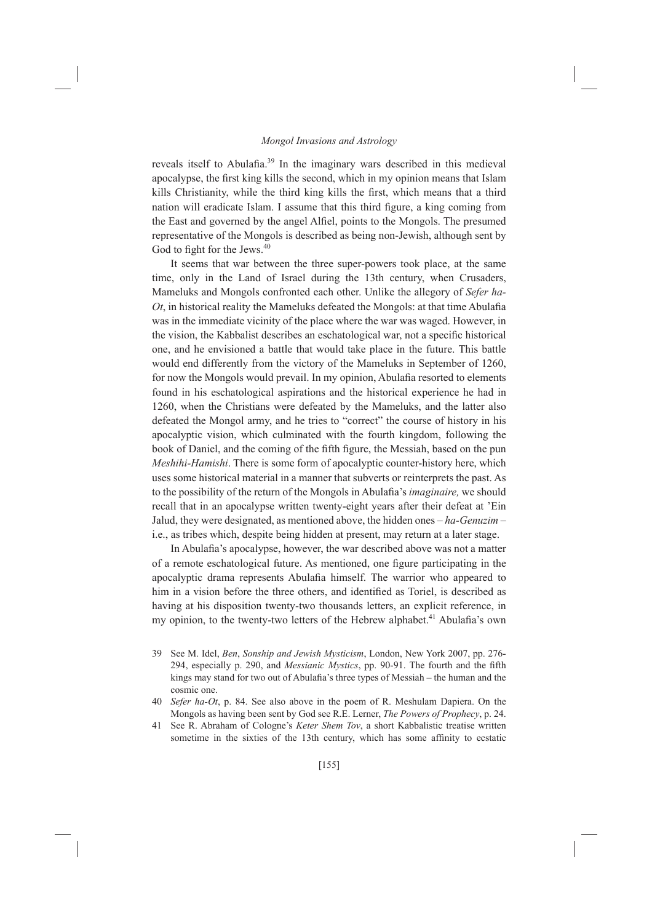reveals itself to Abulafia.<sup>39</sup> In the imaginary wars described in this medieval apocalypse, the first king kills the second, which in my opinion means that Islam kills Christianity, while the third king kills the first, which means that a third nation will eradicate Islam. I assume that this third figure, a king coming from the East and governed by the angel Alfiel, points to the Mongols. The presumed representative of the Mongols is described as being non-Jewish, although sent by God to fight for the Jews.<sup>40</sup>

It seems that war between the three super-powers took place, at the same time, only in the Land of Israel during the 13th century, when Crusaders, Mameluks and Mongols confronted each other. Unlike the allegory of Sefer ha- $Ot$ , in historical reality the Mameluks defeated the Mongols: at that time Abulafia was in the immediate vicinity of the place where the war was waged. However, in the vision, the Kabbalist describes an eschatological war, not a specific historical one, and he envisioned a battle that would take place in the future. This battle would end differently from the victory of the Mameluks in September of 1260, for now the Mongols would prevail. In my opinion, Abulafia resorted to elements found in his eschatological aspirations and the historical experience he had in 1260, when the Christians were defeated by the Mameluks, and the latter also defeated the Mongol army, and he tries to "correct" the course of history in his apocalyptic vision, which culminated with the fourth kingdom, following the book of Daniel, and the coming of the fifth figure, the Messiah, based on the pun Meshihi-Hamishi. There is some form of apocalyptic counter-history here, which uses some historical material in a manner that subverts or reinterprets the past. As to the possibility of the return of the Mongols in Abulafia's *imaginaire*, we should recall that in an apocalypse written twenty-eight years after their defeat at 'Ein Jalud, they were designated, as mentioned above, the hidden ones - ha-Genuzim i.e., as tribes which, despite being hidden at present, may return at a later stage.

In Abulafia's apocalypse, however, the war described above was not a matter of a remote eschatological future. As mentioned, one figure participating in the apocalyptic drama represents Abulafia himself. The warrior who appeared to him in a vision before the three others, and identified as Toriel, is described as having at his disposition twenty-two thousands letters, an explicit reference, in my opinion, to the twenty-two letters of the Hebrew alphabet.<sup>41</sup> Abulafia's own

- See M. Idel, Ben, Sonship and Jewish Mysticism, London, New York 2007, pp. 276-39 294, especially p. 290, and *Messianic Mystics*, pp. 90-91. The fourth and the fifth kings may stand for two out of Abulafia's three types of Messiah - the human and the cosmic one.
- 40 Sefer ha-Ot, p. 84. See also above in the poem of R. Meshulam Dapiera. On the Mongols as having been sent by God see R.E. Lerner, *The Powers of Prophecy*, p. 24.
- 41 See R. Abraham of Cologne's Keter Shem Tov, a short Kabbalistic treatise written sometime in the sixties of the 13th century, which has some affinity to ecstatic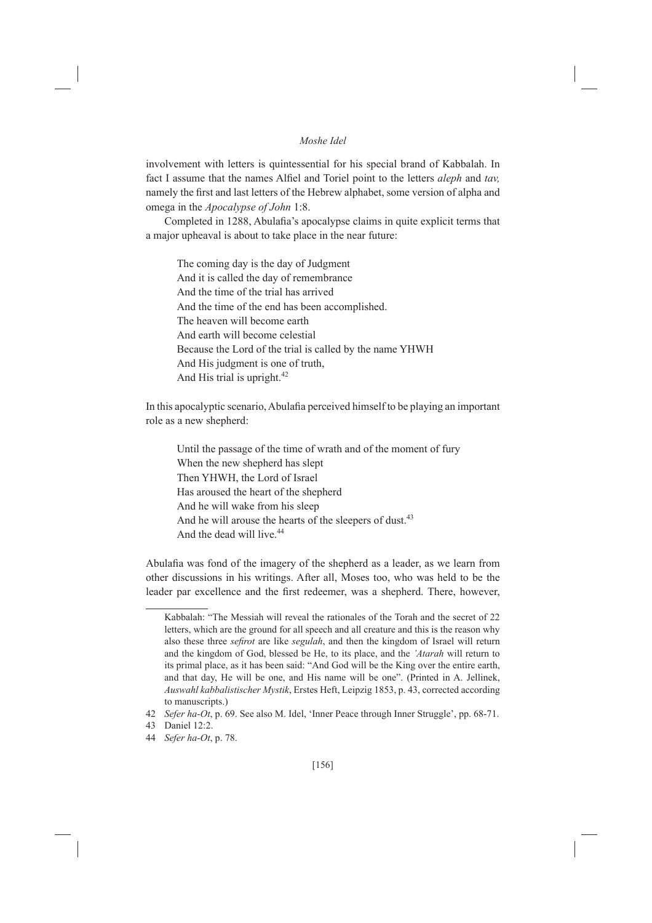involvement with letters is quintessential for his special brand of Kabbalah. In fact I assume that the names Alfiel and Toriel point to the letters *aleph* and tay, namely the first and last letters of the Hebrew alphabet, some version of alpha and omega in the Apocalypse of John 1:8.

Completed in 1288, Abulafia's apocalypse claims in quite explicit terms that a major upheaval is about to take place in the near future:

The coming day is the day of Judgment And it is called the day of remembrance And the time of the trial has arrived And the time of the end has been accomplished. The heaven will become earth And earth will become celestial Because the Lord of the trial is called by the name YHWH And His judgment is one of truth, And His trial is upright.<sup>42</sup>

In this apocalyptic scenario, Abulafia perceived himself to be playing an important role as a new shepherd:

Until the passage of the time of wrath and of the moment of fury When the new shepherd has slept Then YHWH, the Lord of Israel Has aroused the heart of the shepherd And he will wake from his sleep And he will arouse the hearts of the sleepers of dust.<sup>43</sup> And the dead will live.<sup>44</sup>

Abulafia was fond of the imagery of the shepherd as a leader, as we learn from other discussions in his writings. After all, Moses too, who was held to be the leader par excellence and the first redeemer, was a shepherd. There, however,

Kabbalah: "The Messiah will reveal the rationales of the Torah and the secret of 22 letters, which are the ground for all speech and all creature and this is the reason why also these three *sefirot* are like *segulah*, and then the kingdom of Israel will return and the kingdom of God, blessed be He, to its place, and the 'Atarah will return to its primal place, as it has been said: "And God will be the King over the entire earth, and that day, He will be one, and His name will be one". (Printed in A. Jellinek, Auswahl kabbalistischer Mystik, Erstes Heft, Leipzig 1853, p. 43, corrected according to manuscripts.)

<sup>42</sup> Sefer ha-Ot, p. 69. See also M. Idel, 'Inner Peace through Inner Struggle', pp. 68-71.

<sup>43</sup> Daniel 12:2.

<sup>44</sup> Sefer ha-Ot, p. 78.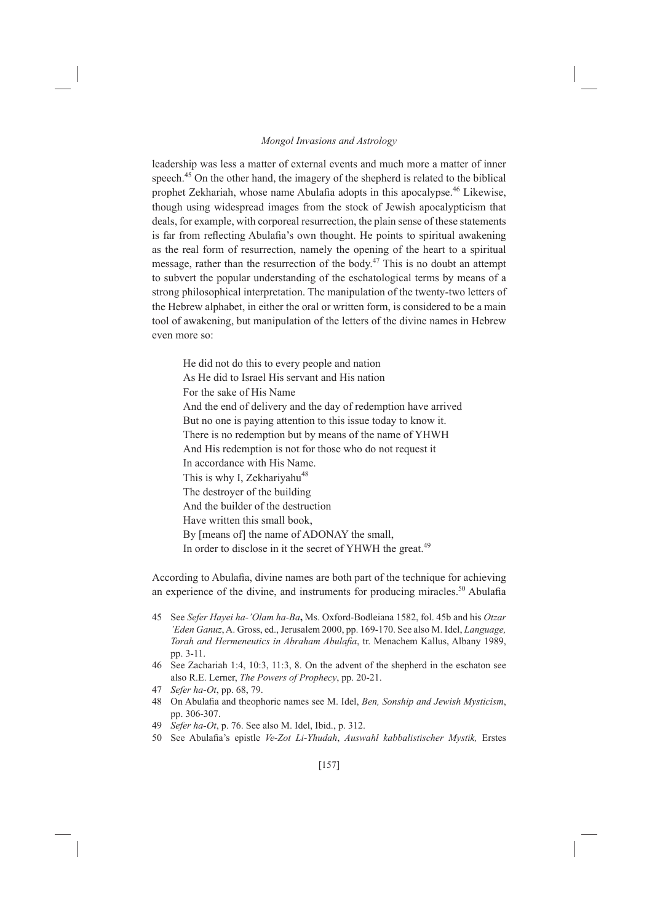leadership was less a matter of external events and much more a matter of inner speech.<sup>45</sup> On the other hand, the imagery of the shepherd is related to the biblical prophet Zekhariah, whose name Abulafia adopts in this apocalypse.<sup>46</sup> Likewise, though using widespread images from the stock of Jewish apocalypticism that deals, for example, with corporeal resurrection, the plain sense of these statements is far from reflecting Abulafia's own thought. He points to spiritual awakening as the real form of resurrection, namely the opening of the heart to a spiritual message, rather than the resurrection of the body.<sup>47</sup> This is no doubt an attempt to subvert the popular understanding of the eschatological terms by means of a strong philosophical interpretation. The manipulation of the twenty-two letters of the Hebrew alphabet, in either the oral or written form, is considered to be a main tool of awakening, but manipulation of the letters of the divine names in Hebrew even more so:

He did not do this to every people and nation As He did to Israel His servant and His nation For the sake of His Name And the end of delivery and the day of redemption have arrived But no one is paying attention to this issue today to know it. There is no redemption but by means of the name of YHWH And His redemption is not for those who do not request it In accordance with His Name. This is why I, Zekhariyahu<sup>48</sup> The destroyer of the building And the builder of the destruction Have written this small book. By [means of] the name of ADONAY the small, In order to disclose in it the secret of YHWH the great.<sup>49</sup>

According to Abulafia, divine names are both part of the technique for achieving an experience of the divine, and instruments for producing miracles.<sup>50</sup> Abulafia

- 45 See Sefer Hayei ha-'Olam ha-Ba, Ms. Oxford-Bodleiana 1582, fol. 45b and his Otzar 'Eden Ganuz, A. Gross, ed., Jerusalem 2000, pp. 169-170. See also M. Idel, Language, Torah and Hermeneutics in Abraham Abulafia, tr. Menachem Kallus, Albany 1989, pp. 3-11.
- See Zachariah 1:4, 10:3, 11:3, 8. On the advent of the shepherd in the eschaton see 46 also R.E. Lerner, The Powers of Prophecy, pp. 20-21.
- 47 Sefer ha-Ot, pp. 68, 79.
- 48 On Abulafia and theophoric names see M. Idel, Ben, Sonship and Jewish Mysticism, pp. 306-307.
- 49 Sefer ha-Ot, p. 76. See also M. Idel, Ibid., p. 312.
- 50 See Abulafia's epistle Ve-Zot Li-Yhudah, Auswahl kabbalistischer Mystik, Erstes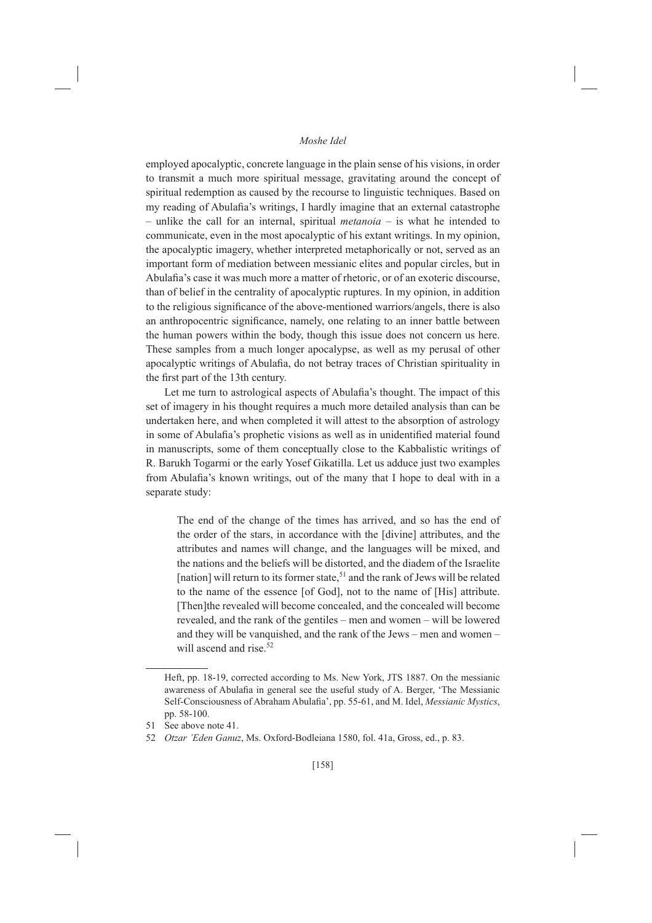employed apocalyptic, concrete language in the plain sense of his visions, in order to transmit a much more spiritual message, gravitating around the concept of spiritual redemption as caused by the recourse to linguistic techniques. Based on my reading of Abulafia's writings, I hardly imagine that an external catastrophe - unlike the call for an internal, spiritual *metanoia* - is what he intended to communicate, even in the most apocalyptic of his extant writings. In my opinion, the apocalyptic imagery, whether interpreted metaphorically or not, served as an important form of mediation between messianic elites and popular circles, but in Abulafia's case it was much more a matter of rhetoric, or of an exoteric discourse, than of belief in the centrality of apocalyptic ruptures. In my opinion, in addition to the religious significance of the above-mentioned warriors/angels, there is also an anthropocentric significance, namely, one relating to an inner battle between the human powers within the body, though this issue does not concern us here. These samples from a much longer apocalypse, as well as my perusal of other apocalyptic writings of Abulafia, do not betray traces of Christian spirituality in the first part of the 13th century.

Let me turn to astrological aspects of Abulafia's thought. The impact of this set of imagery in his thought requires a much more detailed analysis than can be undertaken here, and when completed it will attest to the absorption of astrology in some of Abulafia's prophetic visions as well as in unidentified material found in manuscripts, some of them conceptually close to the Kabbalistic writings of R. Barukh Togarmi or the early Yosef Gikatilla. Let us adduce just two examples from Abulafia's known writings, out of the many that I hope to deal with in a separate study:

The end of the change of the times has arrived, and so has the end of the order of the stars, in accordance with the [divine] attributes, and the attributes and names will change, and the languages will be mixed, and the nations and the beliefs will be distorted, and the diadem of the Israelite [nation] will return to its former state,  $51$  and the rank of Jews will be related to the name of the essence [of God], not to the name of [His] attribute. [Then] the revealed will become concealed, and the concealed will become revealed, and the rank of the gentiles – men and women – will be lowered and they will be vanquished, and the rank of the Jews – men and women – will ascend and rise.<sup>52</sup>

Heft, pp. 18-19, corrected according to Ms. New York, JTS 1887. On the messianic awareness of Abulafia in general see the useful study of A. Berger, 'The Messianic Self-Consciousness of Abraham Abulafia', pp. 55-61, and M. Idel, Messianic Mystics, pp. 58-100.

<sup>51</sup> See above note 41.

<sup>52</sup> Otzar 'Eden Ganuz, Ms. Oxford-Bodleiana 1580, fol. 41a, Gross, ed., p. 83.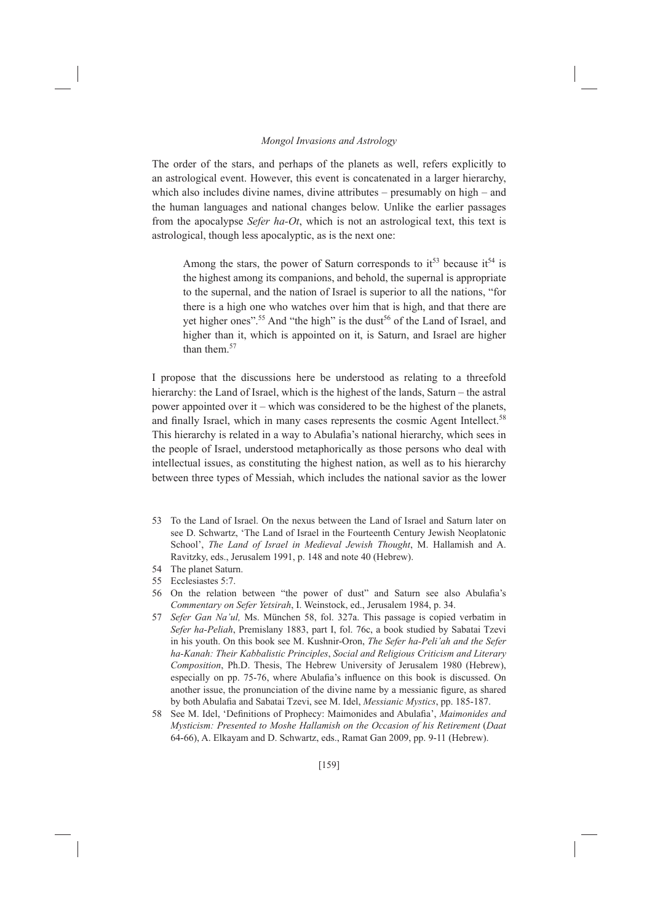The order of the stars, and perhaps of the planets as well, refers explicitly to an astrological event. However, this event is concatenated in a larger hierarchy. which also includes divine names, divine attributes  $-$  presumably on high  $-$  and the human languages and national changes below. Unlike the earlier passages from the apocalypse Sefer ha-Ot, which is not an astrological text, this text is astrological, though less apocalyptic, as is the next one:

Among the stars, the power of Saturn corresponds to  $it^{53}$  because  $it^{54}$  is the highest among its companions, and behold, the supernal is appropriate to the supernal, and the nation of Israel is superior to all the nations, "for there is a high one who watches over him that is high, and that there are yet higher ones".<sup>55</sup> And "the high" is the dust<sup>56</sup> of the Land of Israel, and higher than it, which is appointed on it, is Saturn, and Israel are higher than them  $57$ 

I propose that the discussions here be understood as relating to a threefold hierarchy: the Land of Israel, which is the highest of the lands, Saturn – the astral power appointed over it – which was considered to be the highest of the planets. and finally Israel, which in many cases represents the cosmic Agent Intellect.<sup>58</sup> This hierarchy is related in a way to Abulafia's national hierarchy, which sees in the people of Israel, understood metaphorically as those persons who deal with intellectual issues, as constituting the highest nation, as well as to his hierarchy between three types of Messiah, which includes the national savior as the lower

- 53 To the Land of Israel. On the nexus between the Land of Israel and Saturn later on see D. Schwartz, 'The Land of Israel in the Fourteenth Century Jewish Neoplatonic School', The Land of Israel in Medieval Jewish Thought, M. Hallamish and A. Ravitzky, eds., Jerusalem 1991, p. 148 and note 40 (Hebrew).
- 54 The planet Saturn.
- 55 Ecclesiastes 5:7.
- 56 On the relation between "the power of dust" and Saturn see also Abulafia's Commentary on Sefer Yetsirah, I. Weinstock, ed., Jerusalem 1984, p. 34.
- 57 Sefer Gan Na'ul, Ms. München 58, fol. 327a. This passage is copied verbatim in Sefer ha-Peliah, Premislany 1883, part I, fol. 76c, a book studied by Sabatai Tzevi in his youth. On this book see M. Kushnir-Oron, The Sefer ha-Peli'ah and the Sefer ha-Kanah: Their Kabbalistic Principles, Social and Religious Criticism and Literary Composition, Ph.D. Thesis, The Hebrew University of Jerusalem 1980 (Hebrew), especially on pp. 75-76, where Abulafia's influence on this book is discussed. On another issue, the pronunciation of the divine name by a messianic figure, as shared by both Abulafia and Sabatai Tzevi, see M. Idel, Messianic Mystics, pp. 185-187.
- 58 See M. Idel, 'Definitions of Prophecy: Maimonides and Abulafia', Maimonides and Mysticism: Presented to Moshe Hallamish on the Occasion of his Retirement (Daat 64-66), A. Elkayam and D. Schwartz, eds., Ramat Gan 2009, pp. 9-11 (Hebrew).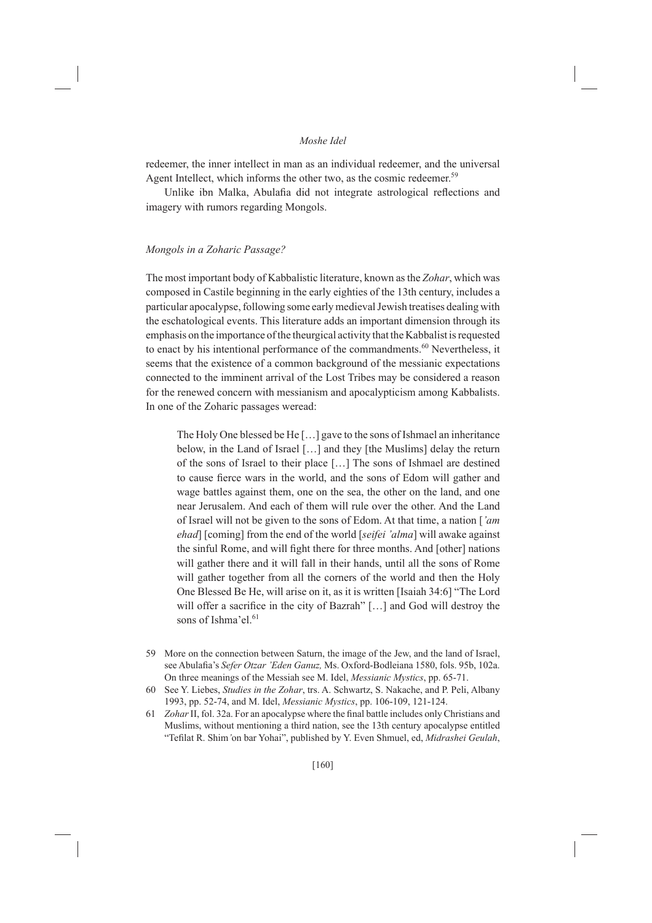redeemer, the inner intellect in man as an individual redeemer, and the universal Agent Intellect, which informs the other two, as the cosmic redeemer.<sup>59</sup>

Unlike ibn Malka, Abulafia did not integrate astrological reflections and imagery with rumors regarding Mongols.

#### Mongols in a Zoharic Passage?

The most important body of Kabbalistic literature, known as the Zohar, which was composed in Castile beginning in the early eighties of the 13th century, includes a particular apocalypse, following some early medieval Jewish treatises dealing with the eschatological events. This literature adds an important dimension through its emphasis on the importance of the theurgical activity that the Kabbalist is requested to enact by his intentional performance of the commandments.<sup>60</sup> Nevertheless, it seems that the existence of a common background of the messianic expectations connected to the imminent arrival of the Lost Tribes may be considered a reason for the renewed concern with messianism and apocalypticism among Kabbalists. In one of the Zoharic passages weread:

The Holy One blessed be He [...] gave to the sons of Ishmael an inheritance below, in the Land of Israel [...] and they [the Muslims] delay the return of the sons of Israel to their place [...] The sons of Ishmael are destined to cause fierce wars in the world, and the sons of Edom will gather and wage battles against them, one on the sea, the other on the land, and one near Jerusalem. And each of them will rule over the other. And the Land of Israel will not be given to the sons of Edom. At that time, a nation ['am *ehad* [coming] from the end of the world [seifei 'alma] will awake against the sinful Rome, and will fight there for three months. And [other] nations will gather there and it will fall in their hands, until all the sons of Rome will gather together from all the corners of the world and then the Holy One Blessed Be He, will arise on it, as it is written [Isaiah 34:6] "The Lord will offer a sacrifice in the city of Bazrah" [...] and God will destroy the sons of Ishma'el.<sup>61</sup>

- 59 More on the connection between Saturn, the image of the Jew, and the land of Israel, see Abulafia's Sefer Otzar 'Eden Ganuz, Ms. Oxford-Bodleiana 1580, fols. 95b, 102a. On three meanings of the Messiah see M. Idel, Messianic Mystics, pp. 65-71.
- 60 See Y. Liebes, Studies in the Zohar, trs. A. Schwartz, S. Nakache, and P. Peli, Albany 1993, pp. 52-74, and M. Idel, Messianic Mystics, pp. 106-109, 121-124.
- 61 Zohar II, fol. 32a. For an apocalypse where the final battle includes only Christians and Muslims, without mentioning a third nation, see the 13th century apocalypse entitled "Tefilat R. Shim'on bar Yohai", published by Y. Even Shmuel, ed, Midrashei Geulah,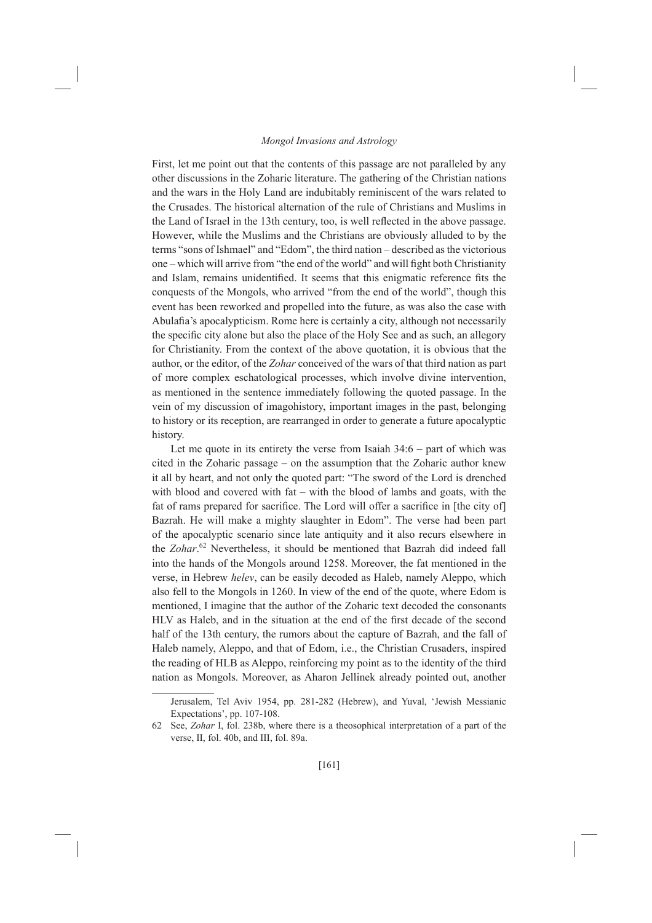First, let me point out that the contents of this passage are not paralleled by any other discussions in the Zoharic literature. The gathering of the Christian nations and the wars in the Holy Land are indubitably reminiscent of the wars related to the Crusades. The historical alternation of the rule of Christians and Muslims in the Land of Israel in the 13th century, too, is well reflected in the above passage. However, while the Muslims and the Christians are obviously alluded to by the terms "sons of Ishmael" and "Edom", the third nation - described as the victorious one – which will arrive from "the end of the world" and will fight both Christianity and Islam, remains unidentified. It seems that this enigmatic reference fits the conquests of the Mongols, who arrived "from the end of the world", though this event has been reworked and propelled into the future, as was also the case with Abulafia's apocalypticism. Rome here is certainly a city, although not necessarily the specific city alone but also the place of the Holy See and as such, an allegory for Christianity. From the context of the above quotation, it is obvious that the author, or the editor, of the Zohar conceived of the wars of that third nation as part of more complex eschatological processes, which involve divine intervention, as mentioned in the sentence immediately following the quoted passage. In the vein of my discussion of imagohistory, important images in the past, belonging to history or its reception, are rearranged in order to generate a future apocalyptic history.

Let me quote in its entirety the verse from Isaiah  $34:6$  – part of which was cited in the Zoharic passage – on the assumption that the Zoharic author knew it all by heart, and not only the quoted part: "The sword of the Lord is drenched with blood and covered with  $fat - with the blood of lambs$  and goats, with the fat of rams prepared for sacrifice. The Lord will offer a sacrifice in [the city of] Bazrah. He will make a mighty slaughter in Edom". The verse had been part of the apocalyptic scenario since late antiquity and it also recurs elsewhere in the Zohar.<sup>62</sup> Nevertheless, it should be mentioned that Bazrah did indeed fall into the hands of the Mongols around 1258. Moreover, the fat mentioned in the verse, in Hebrew *helev*, can be easily decoded as Haleb, namely Aleppo, which also fell to the Mongols in 1260. In view of the end of the quote, where Edom is mentioned. I imagine that the author of the Zoharic text decoded the consonants HLV as Haleb, and in the situation at the end of the first decade of the second half of the 13th century, the rumors about the capture of Bazrah, and the fall of Haleb namely, Aleppo, and that of Edom, *i.e.*, the Christian Crusaders, inspired the reading of HLB as Aleppo, reinforcing my point as to the identity of the third nation as Mongols. Moreover, as Aharon Jellinek already pointed out, another

Jerusalem, Tel Aviv 1954, pp. 281-282 (Hebrew), and Yuval, 'Jewish Messianic Expectations', pp. 107-108.

See, Zohar I, fol. 238b, where there is a theosophical interpretation of a part of the 62 verse, II, fol. 40b, and III, fol. 89a.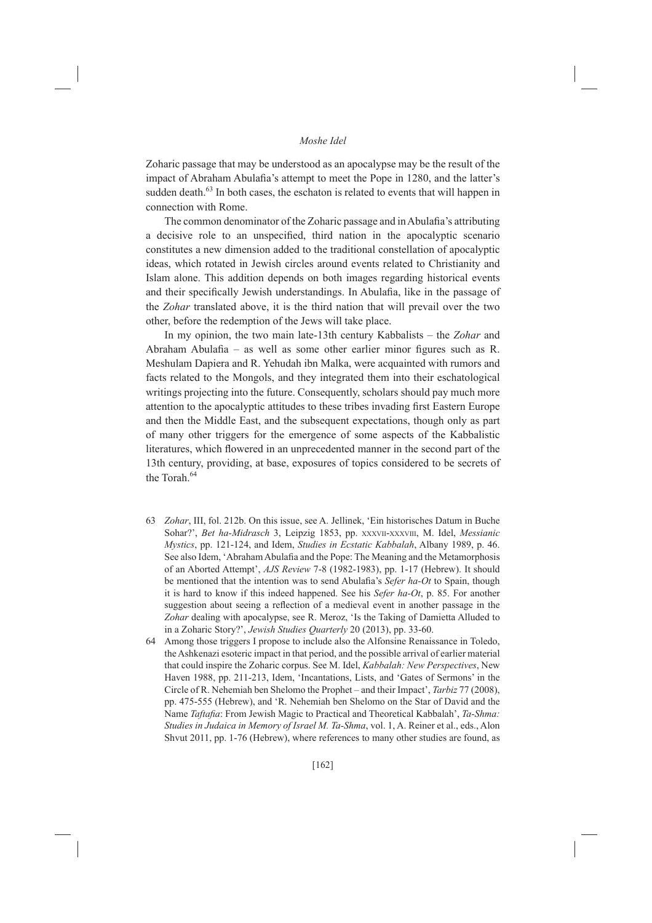Zoharic passage that may be understood as an apocalypse may be the result of the impact of Abraham Abulafia's attempt to meet the Pope in 1280, and the latter's sudden death.<sup>63</sup> In both cases, the eschaton is related to events that will happen in connection with Rome.

The common denominator of the Zoharic passage and in Abulafia's attributing a decisive role to an unspecified, third nation in the apocalyptic scenario constitutes a new dimension added to the traditional constellation of apocalyptic ideas, which rotated in Jewish circles around events related to Christianity and Islam alone. This addition depends on both images regarding historical events and their specifically Jewish understandings. In Abulafia, like in the passage of the Zohar translated above, it is the third nation that will prevail over the two other, before the redemption of the Jews will take place.

In my opinion, the two main late-13th century Kabbalists – the Zohar and Abraham Abulafia – as well as some other earlier minor figures such as R. Meshulam Dapiera and R. Yehudah ibn Malka, were acquainted with rumors and facts related to the Mongols, and they integrated them into their eschatological writings projecting into the future. Consequently, scholars should pay much more attention to the apocalyptic attitudes to these tribes invading first Eastern Europe and then the Middle East, and the subsequent expectations, though only as part of many other triggers for the emergence of some aspects of the Kabbalistic literatures, which flowered in an unprecedented manner in the second part of the 13th century, providing, at base, exposures of topics considered to be secrets of the Torah<sup>64</sup>

- 63 Zohar, III, fol. 212b. On this issue, see A. Jellinek, 'Ein historisches Datum in Buche Sohar?', Bet ha-Midrasch 3, Leipzig 1853, pp. XXXVII-XXXVIII, M. Idel, Messianic Mystics, pp. 121-124, and Idem, Studies in Ecstatic Kabbalah, Albany 1989, p. 46. See also Idem, 'Abraham Abulafia and the Pope: The Meaning and the Metamorphosis of an Aborted Attempt', AJS Review 7-8 (1982-1983), pp. 1-17 (Hebrew). It should be mentioned that the intention was to send Abulafia's Sefer ha-Ot to Spain, though it is hard to know if this indeed happened. See his Sefer ha-Ot, p. 85. For another suggestion about seeing a reflection of a medieval event in another passage in the Zohar dealing with apocalypse, see R. Meroz, 'Is the Taking of Damietta Alluded to in a Zoharic Story?', Jewish Studies Quarterly 20 (2013), pp. 33-60.
- 64 Among those triggers I propose to include also the Alfonsine Renaissance in Toledo, the Ashkenazi esoteric impact in that period, and the possible arrival of earlier material that could inspire the Zoharic corpus. See M. Idel, Kabbalah: New Perspectives, New Haven 1988, pp. 211-213, Idem, 'Incantations, Lists, and 'Gates of Sermons' in the Circle of R. Nehemiah ben Shelomo the Prophet – and their Impact', Tarbiz 77 (2008), pp. 475-555 (Hebrew), and 'R. Nehemiah ben Shelomo on the Star of David and the Name Taftafia: From Jewish Magic to Practical and Theoretical Kabbalah', Ta-Shma: Studies in Judaica in Memory of Israel M. Ta-Shma, vol. 1, A. Reiner et al., eds., Alon Shvut 2011, pp. 1-76 (Hebrew), where references to many other studies are found, as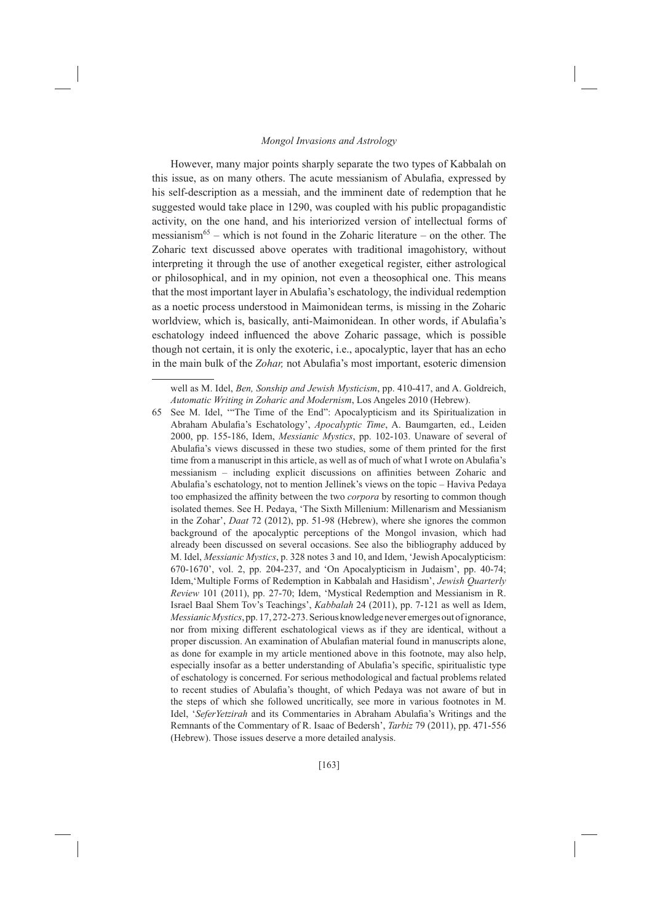However, many major points sharply separate the two types of Kabbalah on this issue, as on many others. The acute messianism of Abulafia, expressed by his self-description as a messiah, and the imminent date of redemption that he suggested would take place in 1290, was coupled with his public propagandistic activity, on the one hand, and his interiorized version of intellectual forms of messianism<sup>65</sup> – which is not found in the Zoharic literature – on the other. The Zoharic text discussed above operates with traditional imagohistory, without interpreting it through the use of another exegetical register, either astrological or philosophical, and in my opinion, not even a theosophical one. This means that the most important layer in Abulafia's eschatology, the individual redemption as a noetic process understood in Maimonidean terms, is missing in the Zoharic worldview, which is, basically, anti-Maimonidean. In other words, if Abulafia's eschatology indeed influenced the above Zoharic passage, which is possible though not certain, it is only the exoteric, i.e., apocalyptic, layer that has an echo in the main bulk of the Zohar, not Abulafia's most important, esoteric dimension

well as M. Idel, Ben, Sonship and Jewish Mysticism, pp. 410-417, and A. Goldreich, Automatic Writing in Zoharic and Modernism, Los Angeles 2010 (Hebrew).

<sup>65</sup> See M. Idel, "The Time of the End": Apocalypticism and its Spiritualization in Abraham Abulafia's Eschatology', Apocalyptic Time, A. Baumgarten, ed., Leiden 2000, pp. 155-186, Idem, Messianic Mystics, pp. 102-103. Unaware of several of Abulafia's views discussed in these two studies, some of them printed for the first time from a manuscript in this article, as well as of much of what I wrote on Abulafia's messianism - including explicit discussions on affinities between Zoharic and Abulafia's eschatology, not to mention Jellinek's views on the topic - Haviva Pedaya too emphasized the affinity between the two corpora by resorting to common though isolated themes. See H. Pedaya, 'The Sixth Millenium: Millenarism and Messianism in the Zohar', Daat 72 (2012), pp. 51-98 (Hebrew), where she ignores the common background of the apocalyptic perceptions of the Mongol invasion, which had already been discussed on several occasions. See also the bibliography adduced by M. Idel, *Messianic Mystics*, p. 328 notes 3 and 10, and Idem, 'Jewish Apocalypticism: 670-1670', vol. 2, pp. 204-237, and 'On Apocalypticism in Judaism', pp. 40-74; Idem, 'Multiple Forms of Redemption in Kabbalah and Hasidism', Jewish Quarterly Review 101 (2011), pp. 27-70; Idem, 'Mystical Redemption and Messianism in R. Israel Baal Shem Tov's Teachings', Kabbalah 24 (2011), pp. 7-121 as well as Idem, Messianic Mystics, pp. 17, 272-273. Serious knowledge never emerges out of ignorance, nor from mixing different eschatological views as if they are identical, without a proper discussion. An examination of Abulafian material found in manuscripts alone, as done for example in my article mentioned above in this footnote, may also help, especially insofar as a better understanding of Abulafia's specific, spiritualistic type of eschatology is concerned. For serious methodological and factual problems related to recent studies of Abulafia's thought, of which Pedaya was not aware of but in the steps of which she followed uncritically, see more in various footnotes in M. Idel, 'SeferYetzirah and its Commentaries in Abraham Abulafia's Writings and the Remnants of the Commentary of R. Isaac of Bedersh', Tarbiz 79 (2011), pp. 471-556 (Hebrew). Those issues deserve a more detailed analysis.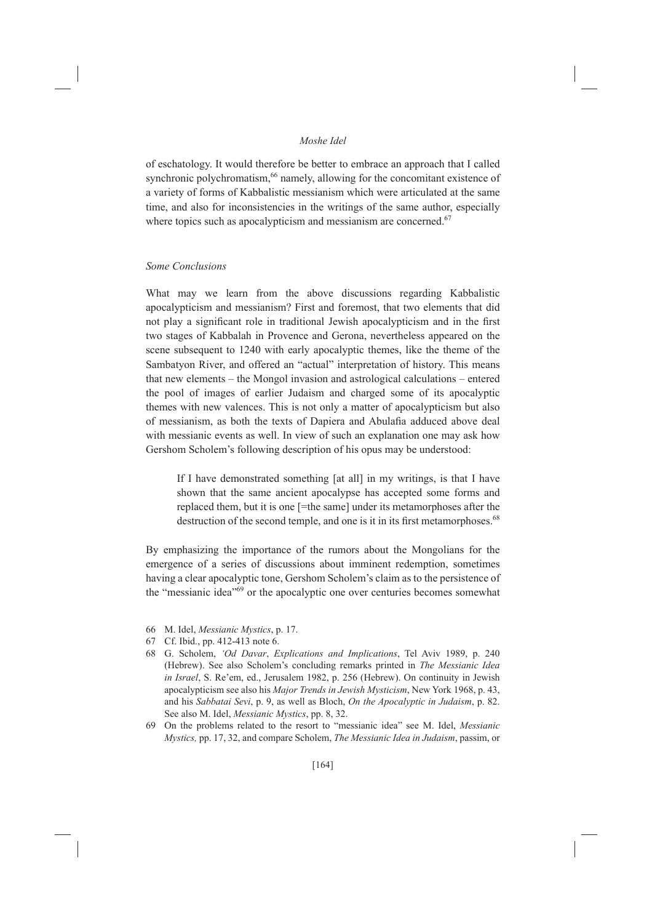of eschatology. It would therefore be better to embrace an approach that I called synchronic polychromatism.<sup>66</sup> namely, allowing for the concomitant existence of a variety of forms of Kabbalistic messianism which were articulated at the same time, and also for inconsistencies in the writings of the same author, especially where topics such as apocalypticism and messianism are concerned.<sup>67</sup>

#### Some Conclusions

What may we learn from the above discussions regarding Kabbalistic apocalypticism and messianism? First and foremost, that two elements that did not play a significant role in traditional Jewish apocalypticism and in the first two stages of Kabbalah in Provence and Gerona, nevertheless appeared on the scene subsequent to 1240 with early apocalyptic themes, like the theme of the Sambatyon River, and offered an "actual" interpretation of history. This means that new elements – the Mongol invasion and astrological calculations – entered the pool of images of earlier Judaism and charged some of its apocalyptic themes with new valences. This is not only a matter of apocalypticism but also of messianism, as both the texts of Dapiera and Abulafia adduced above deal with messianic events as well. In view of such an explanation one may ask how Gershom Scholem's following description of his opus may be understood:

If I have demonstrated something [at all] in my writings, is that I have shown that the same ancient apocalypse has accepted some forms and replaced them, but it is one [=the same] under its metamorphoses after the destruction of the second temple, and one is it in its first metamorphoses.<sup>68</sup>

By emphasizing the importance of the rumors about the Mongolians for the emergence of a series of discussions about imminent redemption, sometimes having a clear apocalyptic tone, Gershom Scholem's claim as to the persistence of the "messianic idea"<sup>69</sup> or the apocalyptic one over centuries becomes somewhat

- 66 M. Idel, Messianic Mystics, p. 17.
- 67 Cf. Ibid., pp. 412-413 note 6.
- 68 G. Scholem, 'Od Davar, Explications and Implications, Tel Aviv 1989, p. 240 (Hebrew). See also Scholem's concluding remarks printed in The Messianic Idea in Israel, S. Re'em, ed., Jerusalem 1982, p. 256 (Hebrew). On continuity in Jewish apocalypticism see also his Major Trends in Jewish Mysticism, New York 1968, p. 43, and his Sabbatai Sevi, p. 9, as well as Bloch, On the Apocalyptic in Judaism, p. 82. See also M. Idel, Messianic Mystics, pp. 8, 32.
- On the problems related to the resort to "messianic idea" see M. Idel, Messianic 69 Mystics, pp. 17, 32, and compare Scholem, The Messianic Idea in Judaism, passim, or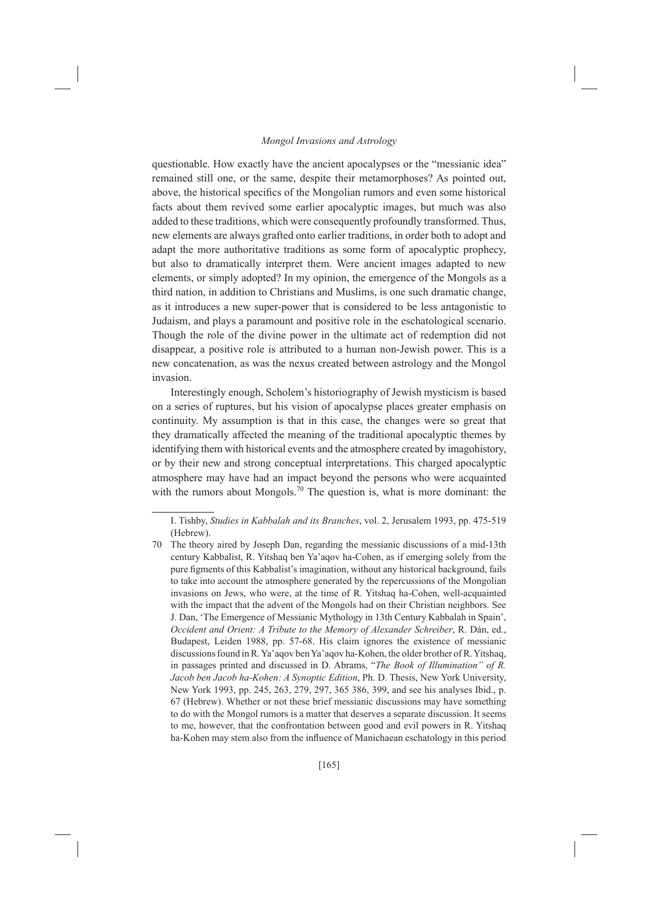questionable. How exactly have the ancient apocalypses or the "messianic idea" remained still one, or the same, despite their metamorphoses? As pointed out, above, the historical specifics of the Mongolian rumors and even some historical facts about them revived some earlier apocalyptic images, but much was also added to these traditions, which were consequently profoundly transformed. Thus, new elements are always grafted onto earlier traditions, in order both to adopt and adapt the more authoritative traditions as some form of apocalyptic prophecy, but also to dramatically interpret them. Were ancient images adapted to new elements, or simply adopted? In my opinion, the emergence of the Mongols as a third nation, in addition to Christians and Muslims, is one such dramatic change, as it introduces a new super-power that is considered to be less antagonistic to Judaism, and plays a paramount and positive role in the eschatological scenario. Though the role of the divine power in the ultimate act of redemption did not disappear, a positive role is attributed to a human non-Jewish power. This is a new concatenation, as was the nexus created between astrology and the Mongol invasion.

Interestingly enough, Scholem's historiography of Jewish mysticism is based on a series of ruptures, but his vision of apocalypse places greater emphasis on continuity. My assumption is that in this case, the changes were so great that they dramatically affected the meaning of the traditional apocalyptic themes by identifying them with historical events and the atmosphere created by imagohistory, or by their new and strong conceptual interpretations. This charged apocalyptic atmosphere may have had an impact beyond the persons who were acquainted with the rumors about Mongols.<sup>70</sup> The question is, what is more dominant: the

I. Tishby, Studies in Kabbalah and its Branches, vol. 2, Jerusalem 1993, pp. 475-519 (Hebrew)

<sup>70</sup> The theory aired by Joseph Dan, regarding the messianic discussions of a mid-13th century Kabbalist, R. Yitshaq ben Ya'aqov ha-Cohen, as if emerging solely from the pure figments of this Kabbalist's imagination, without any historical background, fails to take into account the atmosphere generated by the repercussions of the Mongolian invasions on Jews, who were, at the time of R. Yitshaq ha-Cohen, well-acquainted with the impact that the advent of the Mongols had on their Christian neighbors. See J. Dan, 'The Emergence of Messianic Mythology in 13th Century Kabbalah in Spain', Occident and Orient: A Tribute to the Memory of Alexander Schreiber, R. Dán, ed., Budapest, Leiden 1988, pp. 57-68. His claim ignores the existence of messianic discussions found in R. Ya'aqov ben Ya'aqov ha-Kohen, the older brother of R. Yitshaq, in passages printed and discussed in D. Abrams, "The Book of Illumination" of R. Jacob ben Jacob ha-Kohen: A Synoptic Edition, Ph. D. Thesis, New York University, New York 1993, pp. 245, 263, 279, 297, 365 386, 399, and see his analyses Ibid., p. 67 (Hebrew). Whether or not these brief messianic discussions may have something to do with the Mongol rumors is a matter that deserves a separate discussion. It seems to me, however, that the confrontation between good and evil powers in R. Yitshaq ha-Kohen may stem also from the influence of Manichaean eschatology in this period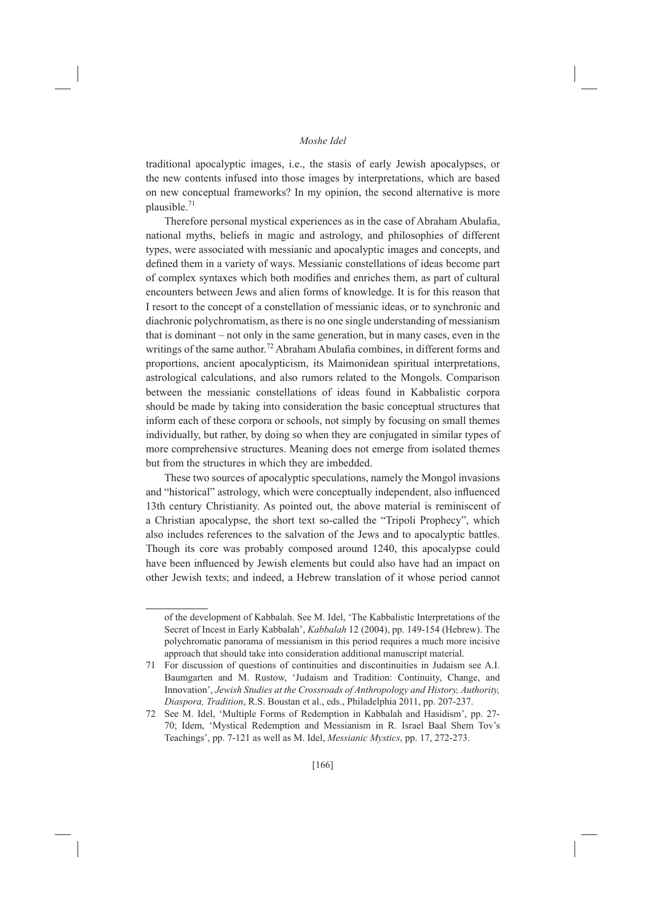traditional apocalyptic images, i.e., the stasis of early Jewish apocalypses, or the new contents infused into those images by interpretations, which are based on new conceptual frameworks? In my opinion, the second alternative is more plausible. $71$ 

Therefore personal mystical experiences as in the case of Abraham Abulafia, national myths, beliefs in magic and astrology, and philosophies of different types, were associated with messianic and apocalyptic images and concepts, and defined them in a variety of ways. Messianic constellations of ideas become part of complex syntaxes which both modifies and enriches them, as part of cultural encounters between Jews and alien forms of knowledge. It is for this reason that I resort to the concept of a constellation of messianic ideas, or to synchronic and diachronic polychromatism, as there is no one single understanding of messianism that is dominant – not only in the same generation, but in many cases, even in the writings of the same author.<sup>72</sup> Abraham Abulafia combines, in different forms and proportions, ancient apocalypticism, its Maimonidean spiritual interpretations, astrological calculations, and also rumors related to the Mongols. Comparison between the messianic constellations of ideas found in Kabbalistic corpora should be made by taking into consideration the basic conceptual structures that inform each of these corpora or schools, not simply by focusing on small themes individually, but rather, by doing so when they are conjugated in similar types of more comprehensive structures. Meaning does not emerge from isolated themes but from the structures in which they are imbedded.

These two sources of apocalyptic speculations, namely the Mongol invasions and "historical" astrology, which were conceptually independent, also influenced 13th century Christianity. As pointed out, the above material is reminiscent of a Christian apocalypse, the short text so-called the "Tripoli Prophecy", which also includes references to the salvation of the Jews and to apocalyptic battles. Though its core was probably composed around 1240, this apocalypse could have been influenced by Jewish elements but could also have had an impact on other Jewish texts; and indeed, a Hebrew translation of it whose period cannot

of the development of Kabbalah. See M. Idel, 'The Kabbalistic Interpretations of the Secret of Incest in Early Kabbalah', Kabbalah 12 (2004), pp. 149-154 (Hebrew). The polychromatic panorama of messianism in this period requires a much more incisive approach that should take into consideration additional manuscript material.

<sup>71</sup> For discussion of questions of continuities and discontinuities in Judaism see A.I. Baumgarten and M. Rustow, 'Judaism and Tradition: Continuity, Change, and Innovation', Jewish Studies at the Crossroads of Anthropology and History, Authority, Diaspora, Tradition, R.S. Boustan et al., eds., Philadelphia 2011, pp. 207-237.

<sup>72</sup> See M. Idel, 'Multiple Forms of Redemption in Kabbalah and Hasidism', pp. 27-70; Idem, 'Mystical Redemption and Messianism in R. Israel Baal Shem Tov's Teachings', pp. 7-121 as well as M. Idel, *Messianic Mystics*, pp. 17, 272-273.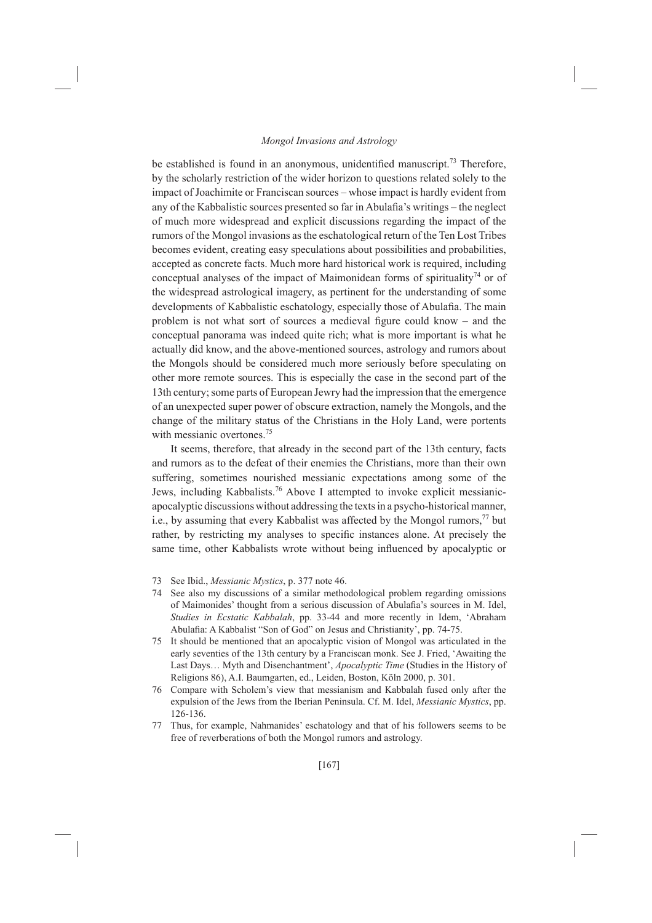be established is found in an anonymous, unidentified manuscript.<sup>73</sup> Therefore, by the scholarly restriction of the wider horizon to questions related solely to the impact of Joachimite or Franciscan sources - whose impact is hardly evident from any of the Kabbalistic sources presented so far in Abulafia's writings – the neglect of much more widespread and explicit discussions regarding the impact of the rumors of the Mongol invasions as the eschatological return of the Ten Lost Tribes becomes evident, creating easy speculations about possibilities and probabilities, accepted as concrete facts. Much more hard historical work is required, including conceptual analyses of the impact of Maimonidean forms of spirituality<sup>74</sup> or of the widespread astrological imagery, as pertinent for the understanding of some developments of Kabbalistic eschatology, especially those of Abulafia. The main problem is not what sort of sources a medieval figure could know - and the conceptual panorama was indeed quite rich; what is more important is what he actually did know, and the above-mentioned sources, astrology and rumors about the Mongols should be considered much more seriously before speculating on other more remote sources. This is especially the case in the second part of the 13th century; some parts of European Jewry had the impression that the emergence of an unexpected super power of obscure extraction, namely the Mongols, and the change of the military status of the Christians in the Holy Land, were portents with messianic overtones.<sup>75</sup>

It seems, therefore, that already in the second part of the 13th century, facts and rumors as to the defeat of their enemies the Christians, more than their own suffering, sometimes nourished messianic expectations among some of the Jews, including Kabbalists.<sup>76</sup> Above I attempted to invoke explicit messianicapocalyptic discussions without addressing the texts in a psycho-historical manner, i.e., by assuming that every Kabbalist was affected by the Mongol rumors,<sup>77</sup> but rather, by restricting my analyses to specific instances alone. At precisely the same time, other Kabbalists wrote without being influenced by apocalyptic or

- 73 See Ibid., Messianic Mystics, p. 377 note 46.
- 74 See also my discussions of a similar methodological problem regarding omissions of Maimonides' thought from a serious discussion of Abulafia's sources in M. Idel, Studies in Ecstatic Kabbalah, pp. 33-44 and more recently in Idem, 'Abraham Abulafia: A Kabbalist "Son of God" on Jesus and Christianity', pp. 74-75.
- 75 It should be mentioned that an apocalyptic vision of Mongol was articulated in the early seventies of the 13th century by a Franciscan monk. See J. Fried, 'Awaiting the Last Days... Myth and Disenchantment', Apocalyptic Time (Studies in the History of Religions 86), A.I. Baumgarten, ed., Leiden, Boston, Köln 2000, p. 301.
- 76 Compare with Scholem's view that messianism and Kabbalah fused only after the expulsion of the Jews from the Iberian Peninsula. Cf. M. Idel, Messianic Mystics, pp. 126-136
- Thus, for example, Nahmanides' eschatology and that of his followers seems to be 77 free of reverberations of both the Mongol rumors and astrology.